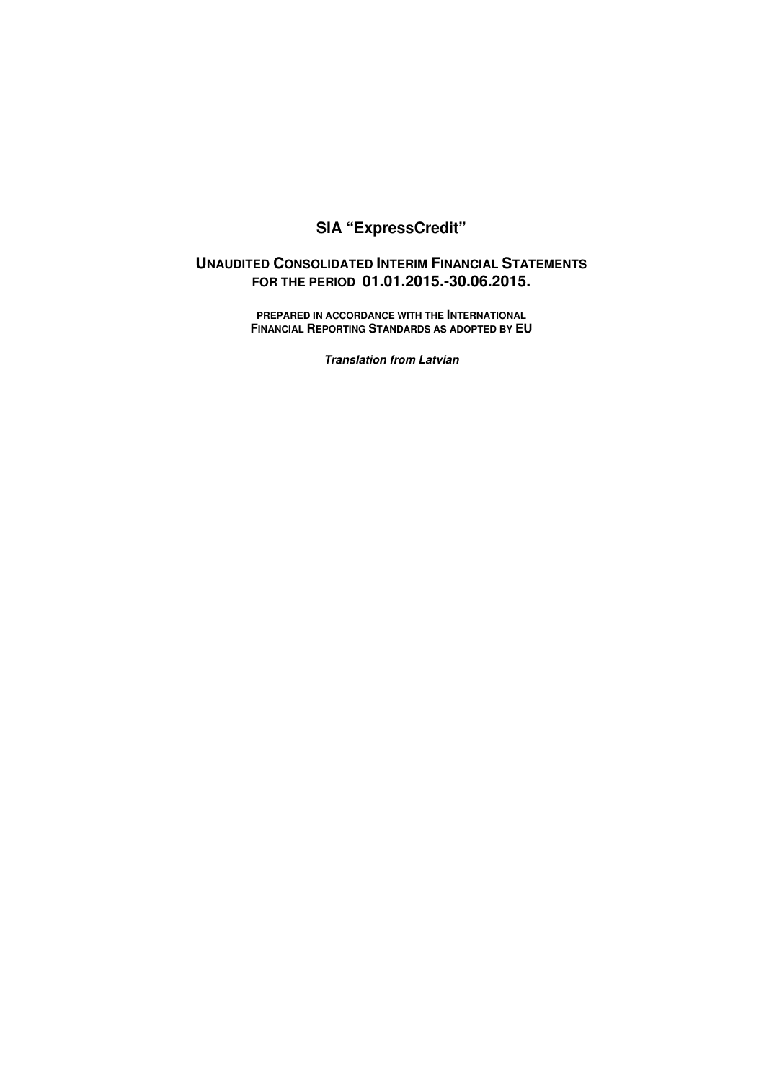# **SIA "ExpressCredit"**

# **UNAUDITED CONSOLIDATED INTERIM FINANCIAL STATEMENTS FOR THE PERIOD 01.01.2015.-30.06.2015.**

**PREPARED IN ACCORDANCE WITH THE INTERNATIONAL FINANCIAL REPORTING STANDARDS AS ADOPTED BY EU** 

**Translation from Latvian**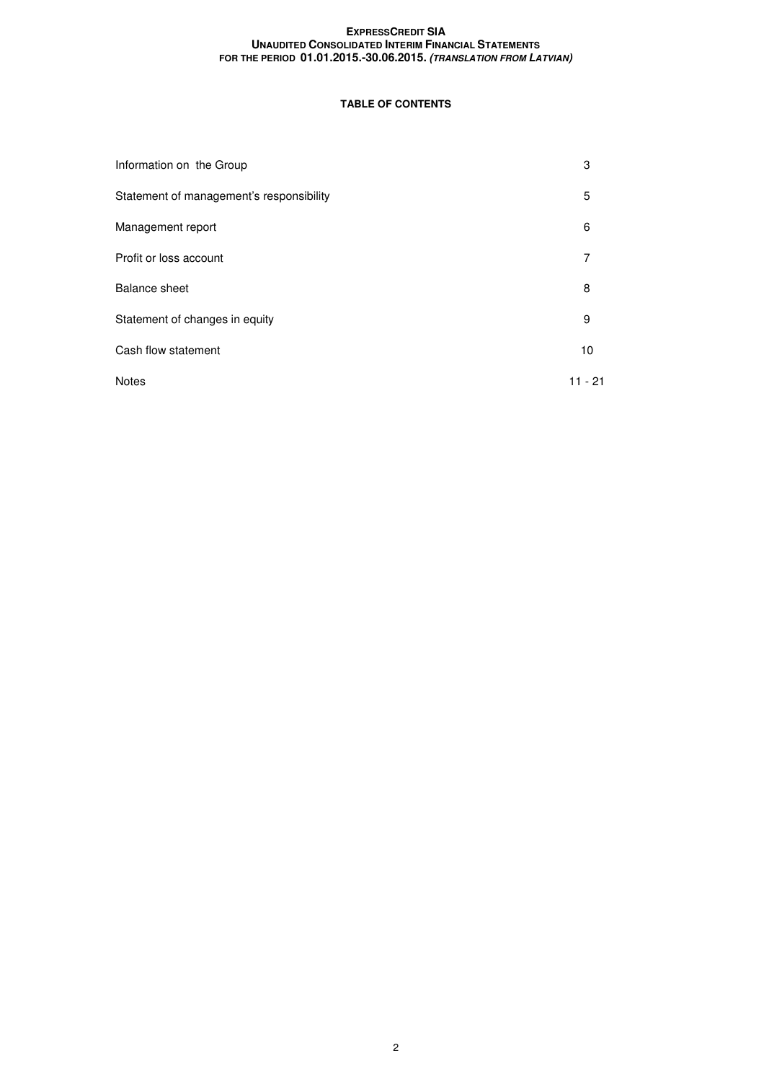# **TABLE OF CONTENTS**

| Information on the Group                 | 3         |
|------------------------------------------|-----------|
| Statement of management's responsibility | 5         |
| Management report                        | 6         |
| Profit or loss account                   | 7         |
| <b>Balance sheet</b>                     | 8         |
| Statement of changes in equity           | 9         |
| Cash flow statement                      | 10        |
| <b>Notes</b>                             | $11 - 21$ |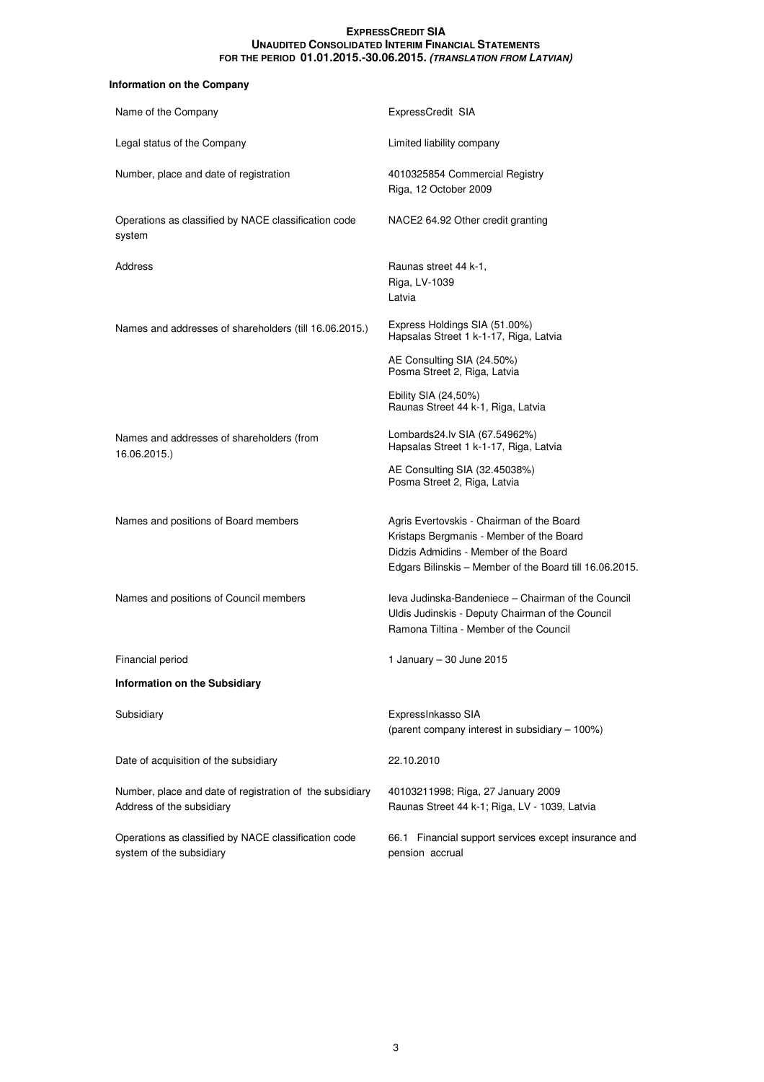# **Information on the Company**

| Name of the Company                                                                   | ExpressCredit SIA                                                                                                                                                                         |
|---------------------------------------------------------------------------------------|-------------------------------------------------------------------------------------------------------------------------------------------------------------------------------------------|
| Legal status of the Company                                                           | Limited liability company                                                                                                                                                                 |
| Number, place and date of registration                                                | 4010325854 Commercial Registry<br>Riga, 12 October 2009                                                                                                                                   |
| Operations as classified by NACE classification code<br>system                        | NACE2 64.92 Other credit granting                                                                                                                                                         |
| Address                                                                               | Raunas street 44 k-1,<br>Riga, LV-1039<br>Latvia                                                                                                                                          |
| Names and addresses of shareholders (till 16.06.2015.)                                | Express Holdings SIA (51.00%)<br>Hapsalas Street 1 k-1-17, Riga, Latvia                                                                                                                   |
|                                                                                       | AE Consulting SIA (24.50%)<br>Posma Street 2, Riga, Latvia                                                                                                                                |
|                                                                                       | Ebility SIA (24,50%)<br>Raunas Street 44 k-1, Riga, Latvia                                                                                                                                |
| Names and addresses of shareholders (from<br>16.06.2015.)                             | Lombards24.lv SIA (67.54962%)<br>Hapsalas Street 1 k-1-17, Riga, Latvia                                                                                                                   |
|                                                                                       | AE Consulting SIA (32.45038%)<br>Posma Street 2, Riga, Latvia                                                                                                                             |
| Names and positions of Board members                                                  | Agris Evertovskis - Chairman of the Board<br>Kristaps Bergmanis - Member of the Board<br>Didzis Admidins - Member of the Board<br>Edgars Bilinskis - Member of the Board till 16.06.2015. |
| Names and positions of Council members                                                | leva Judinska-Bandeniece - Chairman of the Council<br>Uldis Judinskis - Deputy Chairman of the Council<br>Ramona Tiltina - Member of the Council                                          |
| Financial period                                                                      | 1 January - 30 June 2015                                                                                                                                                                  |
| <b>Information on the Subsidiary</b>                                                  |                                                                                                                                                                                           |
| Subsidiary                                                                            | ExpressInkasso SIA<br>(parent company interest in subsidiary - 100%)                                                                                                                      |
| Date of acquisition of the subsidiary                                                 | 22.10.2010                                                                                                                                                                                |
| Number, place and date of registration of the subsidiary<br>Address of the subsidiary | 40103211998; Riga, 27 January 2009<br>Raunas Street 44 k-1; Riga, LV - 1039, Latvia                                                                                                       |
| Operations as classified by NACE classification code<br>system of the subsidiary      | Financial support services except insurance and<br>66.1<br>pension accrual                                                                                                                |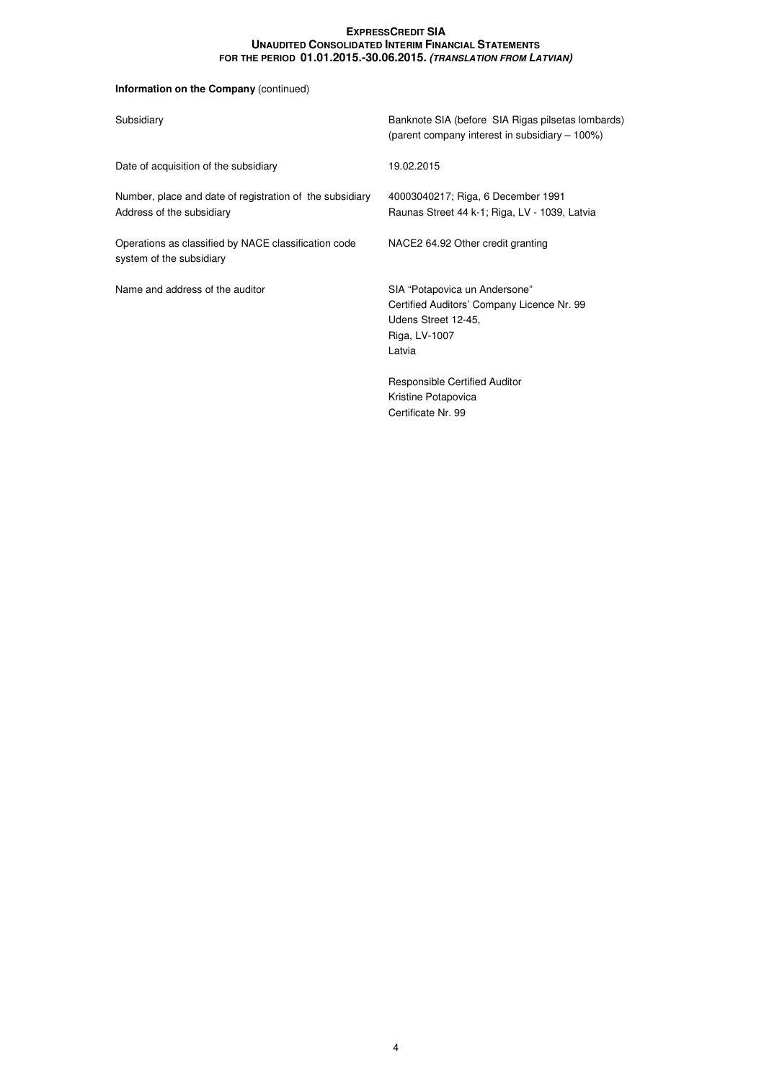# **Information on the Company** (continued)

| Subsidiary                                                                            | Banknote SIA (before SIA Rigas pilsetas lombards)<br>(parent company interest in subsidiary – 100%)                           |
|---------------------------------------------------------------------------------------|-------------------------------------------------------------------------------------------------------------------------------|
| Date of acquisition of the subsidiary                                                 | 19.02.2015                                                                                                                    |
| Number, place and date of registration of the subsidiary<br>Address of the subsidiary | 40003040217; Riga, 6 December 1991<br>Raunas Street 44 k-1; Riga, LV - 1039, Latvia                                           |
| Operations as classified by NACE classification code<br>system of the subsidiary      | NACE2 64.92 Other credit granting                                                                                             |
| Name and address of the auditor                                                       | SIA "Potapovica un Andersone"<br>Certified Auditors' Company Licence Nr. 99<br>Udens Street 12-45,<br>Riga, LV-1007<br>Latvia |
|                                                                                       | Responsible Certified Auditor<br>Kristine Potapovica<br>Certificate Nr. 99                                                    |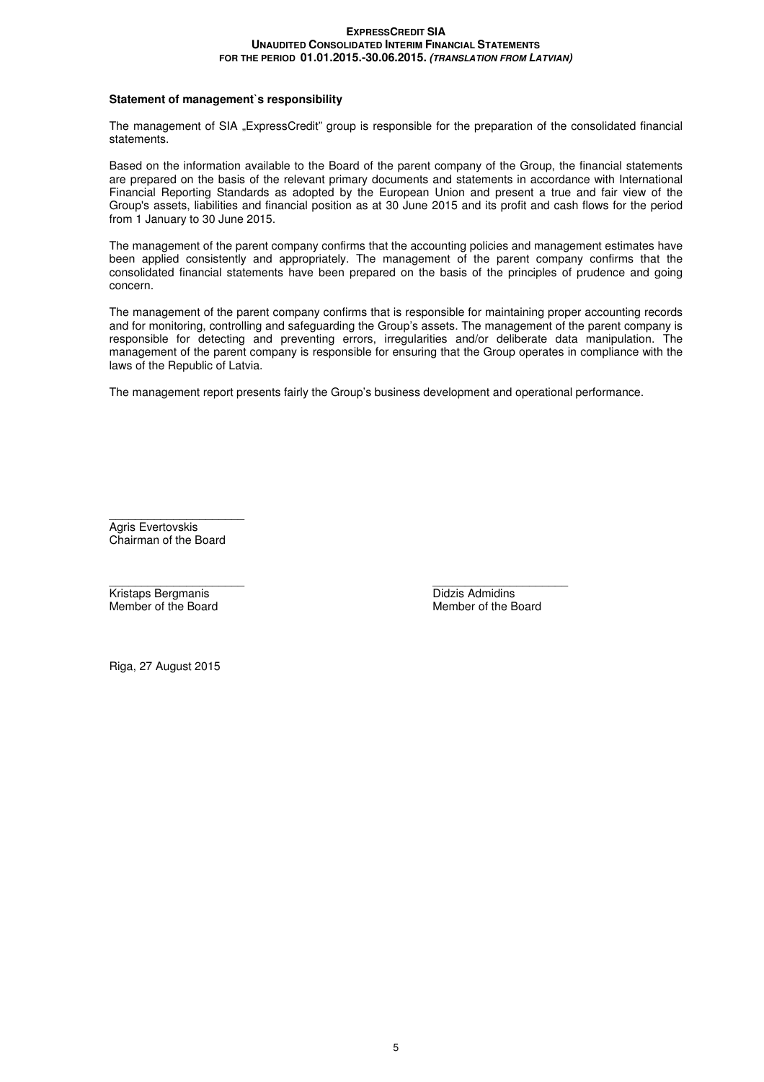# **Statement of management`s responsibility**

The management of SIA "ExpressCredit" group is responsible for the preparation of the consolidated financial statements.

Based on the information available to the Board of the parent company of the Group, the financial statements are prepared on the basis of the relevant primary documents and statements in accordance with International Financial Reporting Standards as adopted by the European Union and present a true and fair view of the Group's assets, liabilities and financial position as at 30 June 2015 and its profit and cash flows for the period from 1 January to 30 June 2015.

The management of the parent company confirms that the accounting policies and management estimates have been applied consistently and appropriately. The management of the parent company confirms that the consolidated financial statements have been prepared on the basis of the principles of prudence and going concern.

The management of the parent company confirms that is responsible for maintaining proper accounting records and for monitoring, controlling and safeguarding the Group's assets. The management of the parent company is responsible for detecting and preventing errors, irregularities and/or deliberate data manipulation. The management of the parent company is responsible for ensuring that the Group operates in compliance with the laws of the Republic of Latvia.

The management report presents fairly the Group's business development and operational performance.

 $\overline{\phantom{a}}$  , we can assume that the contract of  $\overline{\phantom{a}}$ Agris Evertovskis Chairman of the Board

Kristaps Bergmanis **Didzis Admidins**<br>
Member of the Board<br>
Member of the Board

 $\frac{1}{2}$  ,  $\frac{1}{2}$  ,  $\frac{1}{2}$  ,  $\frac{1}{2}$  ,  $\frac{1}{2}$  ,  $\frac{1}{2}$  ,  $\frac{1}{2}$  ,  $\frac{1}{2}$  ,  $\frac{1}{2}$  ,  $\frac{1}{2}$  ,  $\frac{1}{2}$  ,  $\frac{1}{2}$  ,  $\frac{1}{2}$  ,  $\frac{1}{2}$  ,  $\frac{1}{2}$  ,  $\frac{1}{2}$  ,  $\frac{1}{2}$  ,  $\frac{1}{2}$  ,  $\frac{1$ Member of the Board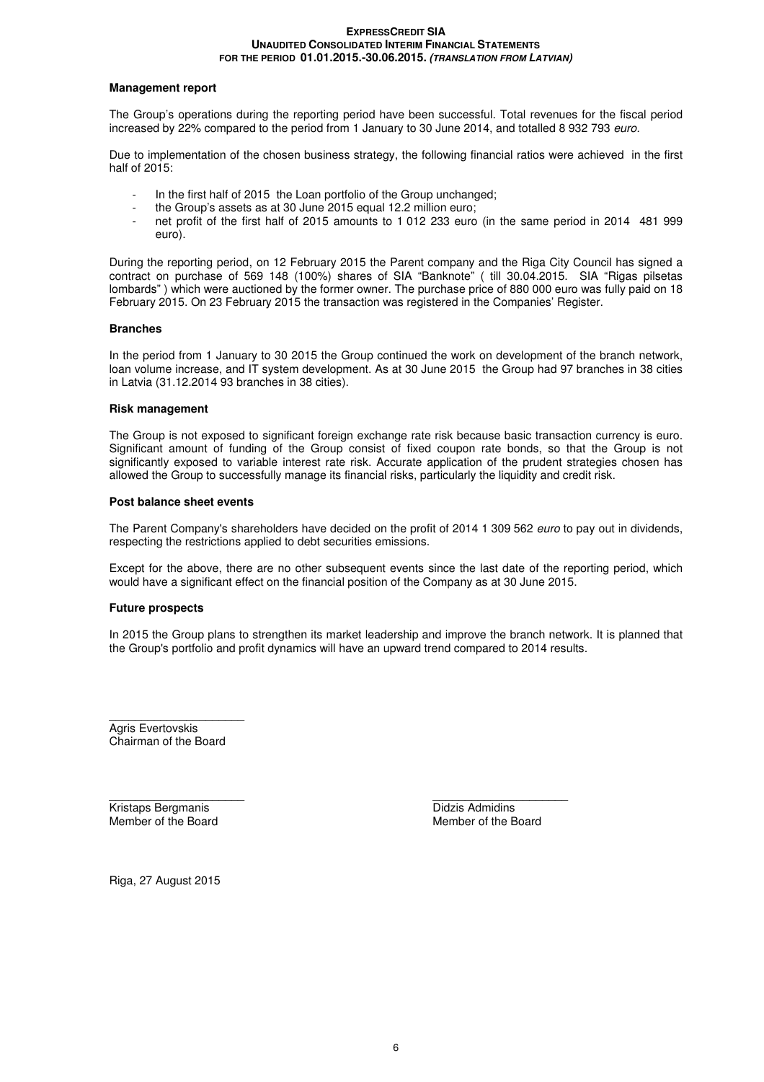# **Management report**

The Group's operations during the reporting period have been successful. Total revenues for the fiscal period increased by 22% compared to the period from 1 January to 30 June 2014, and totalled 8 932 793 euro.

Due to implementation of the chosen business strategy, the following financial ratios were achieved in the first half of 2015:

- In the first half of 2015 the Loan portfolio of the Group unchanged:
- the Group's assets as at 30 June 2015 equal 12.2 million euro;
- net profit of the first half of 2015 amounts to 1 012 233 euro (in the same period in 2014 481 999 euro).

During the reporting period, on 12 February 2015 the Parent company and the Riga City Council has signed a contract on purchase of 569 148 (100%) shares of SIA "Banknote" ( till 30.04.2015. SIA "Rigas pilsetas lombards" ) which were auctioned by the former owner. The purchase price of 880 000 euro was fully paid on 18 February 2015. On 23 February 2015 the transaction was registered in the Companies' Register.

# **Branches**

In the period from 1 January to 30 2015 the Group continued the work on development of the branch network, loan volume increase, and IT system development. As at 30 June 2015 the Group had 97 branches in 38 cities in Latvia (31.12.2014 93 branches in 38 cities).

# **Risk management**

The Group is not exposed to significant foreign exchange rate risk because basic transaction currency is euro. Significant amount of funding of the Group consist of fixed coupon rate bonds, so that the Group is not significantly exposed to variable interest rate risk. Accurate application of the prudent strategies chosen has allowed the Group to successfully manage its financial risks, particularly the liquidity and credit risk.

# **Post balance sheet events**

The Parent Company's shareholders have decided on the profit of 2014 1 309 562 euro to pay out in dividends, respecting the restrictions applied to debt securities emissions.

Except for the above, there are no other subsequent events since the last date of the reporting period, which would have a significant effect on the financial position of the Company as at 30 June 2015.

# **Future prospects**

In 2015 the Group plans to strengthen its market leadership and improve the branch network. It is planned that the Group's portfolio and profit dynamics will have an upward trend compared to 2014 results.

Agris Evertovskis Chairman of the Board

 $\overline{\phantom{a}}$  , we can assume that the contract of  $\overline{\phantom{a}}$ 

 $\frac{1}{2}$  ,  $\frac{1}{2}$  ,  $\frac{1}{2}$  ,  $\frac{1}{2}$  ,  $\frac{1}{2}$  ,  $\frac{1}{2}$  ,  $\frac{1}{2}$  ,  $\frac{1}{2}$  ,  $\frac{1}{2}$  ,  $\frac{1}{2}$  ,  $\frac{1}{2}$  ,  $\frac{1}{2}$  ,  $\frac{1}{2}$  ,  $\frac{1}{2}$  ,  $\frac{1}{2}$  ,  $\frac{1}{2}$  ,  $\frac{1}{2}$  ,  $\frac{1}{2}$  ,  $\frac{1$ **Kristaps Bergmanis Didzis Admidins** Member of the Board Member of the Board Member of the Board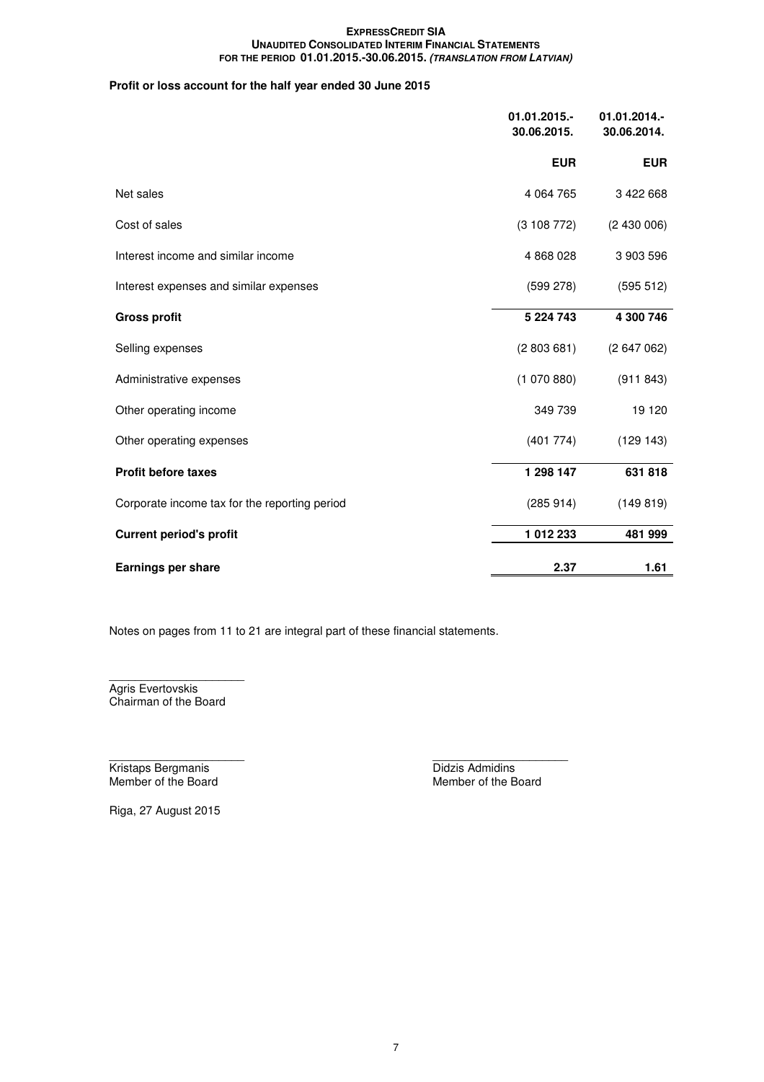# **Profit or loss account for the half year ended 30 June 2015**

|                                               | $01.01.2015.-$<br>30.06.2015. | 01.01.2014.-<br>30.06.2014. |
|-----------------------------------------------|-------------------------------|-----------------------------|
|                                               | <b>EUR</b>                    | <b>EUR</b>                  |
| Net sales                                     | 4 0 64 7 65                   | 3 422 668                   |
| Cost of sales                                 | (3108772)                     | (2430006)                   |
| Interest income and similar income            | 4 868 028                     | 3 903 596                   |
| Interest expenses and similar expenses        | (599 278)                     | (595 512)                   |
| <b>Gross profit</b>                           | 5 2 2 4 7 4 3                 | 4 300 746                   |
| Selling expenses                              | (2803681)                     | (2647062)                   |
| Administrative expenses                       | (1070880)                     | (911843)                    |
| Other operating income                        | 349 739                       | 19 120                      |
| Other operating expenses                      | (401 774)                     | (129143)                    |
| <b>Profit before taxes</b>                    | 1 298 147                     | 631 818                     |
| Corporate income tax for the reporting period | (285914)                      | (149819)                    |
| <b>Current period's profit</b>                | 1012233                       | 481 999                     |
| <b>Earnings per share</b>                     | 2.37                          | 1.61                        |

Notes on pages from 11 to 21 are integral part of these financial statements.

 $\overline{\phantom{a}}$  , we can assume that the contract of  $\overline{\phantom{a}}$ Agris Evertovskis Chairman of the Board

 $\frac{1}{2}$  ,  $\frac{1}{2}$  ,  $\frac{1}{2}$  ,  $\frac{1}{2}$  ,  $\frac{1}{2}$  ,  $\frac{1}{2}$  ,  $\frac{1}{2}$  ,  $\frac{1}{2}$  ,  $\frac{1}{2}$  ,  $\frac{1}{2}$  ,  $\frac{1}{2}$  ,  $\frac{1}{2}$  ,  $\frac{1}{2}$  ,  $\frac{1}{2}$  ,  $\frac{1}{2}$  ,  $\frac{1}{2}$  ,  $\frac{1}{2}$  ,  $\frac{1}{2}$  ,  $\frac{1$ Kristaps Bergmanis **Didzis Admidins** 

Member of the Board Member of the Board Member of the Board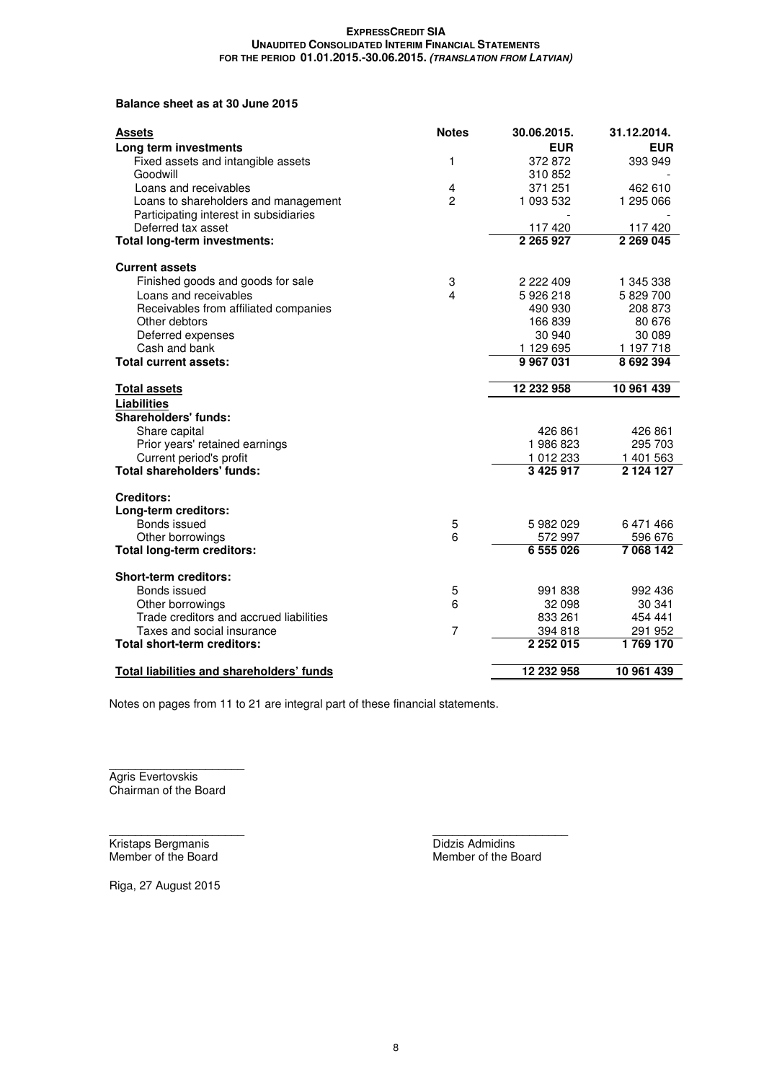# **Balance sheet as at 30 June 2015**

| <b>Assets</b>                                    | <b>Notes</b>   | 30.06.2015.   | 31.12.2014.   |
|--------------------------------------------------|----------------|---------------|---------------|
| Long term investments                            |                | <b>EUR</b>    | <b>EUR</b>    |
| Fixed assets and intangible assets               | 1              | 372872        | 393 949       |
| Goodwill                                         |                | 310852        |               |
| Loans and receivables                            | 4              | 371 251       | 462 610       |
| Loans to shareholders and management             | $\overline{c}$ | 1 093 532     | 1 295 066     |
| Participating interest in subsidiaries           |                |               |               |
| Deferred tax asset                               |                | 117420        | 117420        |
| Total long-term investments:                     |                | 2 265 927     | 2 269 045     |
| <b>Current assets</b>                            |                |               |               |
| Finished goods and goods for sale                | 3              | 2 2 2 4 0 9   | 1 345 338     |
| Loans and receivables                            | $\overline{4}$ | 5926218       | 5829700       |
| Receivables from affiliated companies            |                | 490 930       | 208 873       |
| Other debtors                                    |                | 166839        | 80 676        |
| Deferred expenses                                |                | 30 940        | 30 089        |
| Cash and bank                                    |                | 1 129 695     | 1 197 718     |
| Total current assets:                            |                | 9967031       | 8 692 394     |
| <b>Total assets</b>                              |                | 12 232 958    | 10 961 439    |
| <b>Liabilities</b>                               |                |               |               |
| <b>Shareholders' funds:</b>                      |                |               |               |
| Share capital                                    |                | 426 861       | 426 861       |
| Prior years' retained earnings                   |                | 1986823       | 295 703       |
| Current period's profit                          |                | 1 012 233     | 1 401 563     |
| <b>Total shareholders' funds:</b>                |                | 3 4 2 5 9 1 7 | 2 1 2 4 1 2 7 |
| <b>Creditors:</b>                                |                |               |               |
| Long-term creditors:                             |                |               |               |
| Bonds issued                                     | 5              | 5 982 029     | 6471466       |
| Other borrowings                                 | 6              | 572 997       | 596 676       |
| <b>Total long-term creditors:</b>                |                | 6 555 026     | 7 068 142     |
| Short-term creditors:                            |                |               |               |
| Bonds issued                                     | 5              | 991 838       | 992 436       |
| Other borrowings                                 | 6              | 32 098        | 30 341        |
| Trade creditors and accrued liabilities          |                | 833 261       | 454 441       |
| Taxes and social insurance                       | 7              | 394 818       | 291 952       |
| Total short-term creditors:                      |                | 2 2 5 2 0 1 5 | 1769 170      |
| <b>Total liabilities and shareholders' funds</b> |                | 12 232 958    | 10 961 439    |

Notes on pages from 11 to 21 are integral part of these financial statements.

 $\overline{\phantom{a}}$  , we can assume that the contract of  $\overline{\phantom{a}}$ Agris Evertovskis Chairman of the Board

 $\frac{1}{2}$  ,  $\frac{1}{2}$  ,  $\frac{1}{2}$  ,  $\frac{1}{2}$  ,  $\frac{1}{2}$  ,  $\frac{1}{2}$  ,  $\frac{1}{2}$  ,  $\frac{1}{2}$  ,  $\frac{1}{2}$  ,  $\frac{1}{2}$  ,  $\frac{1}{2}$  ,  $\frac{1}{2}$  ,  $\frac{1}{2}$  ,  $\frac{1}{2}$  ,  $\frac{1}{2}$  ,  $\frac{1}{2}$  ,  $\frac{1}{2}$  ,  $\frac{1}{2}$  ,  $\frac{1$ Kristaps Bergmanis<br>
Member of the Board<br>
Member of the B

Member of the Board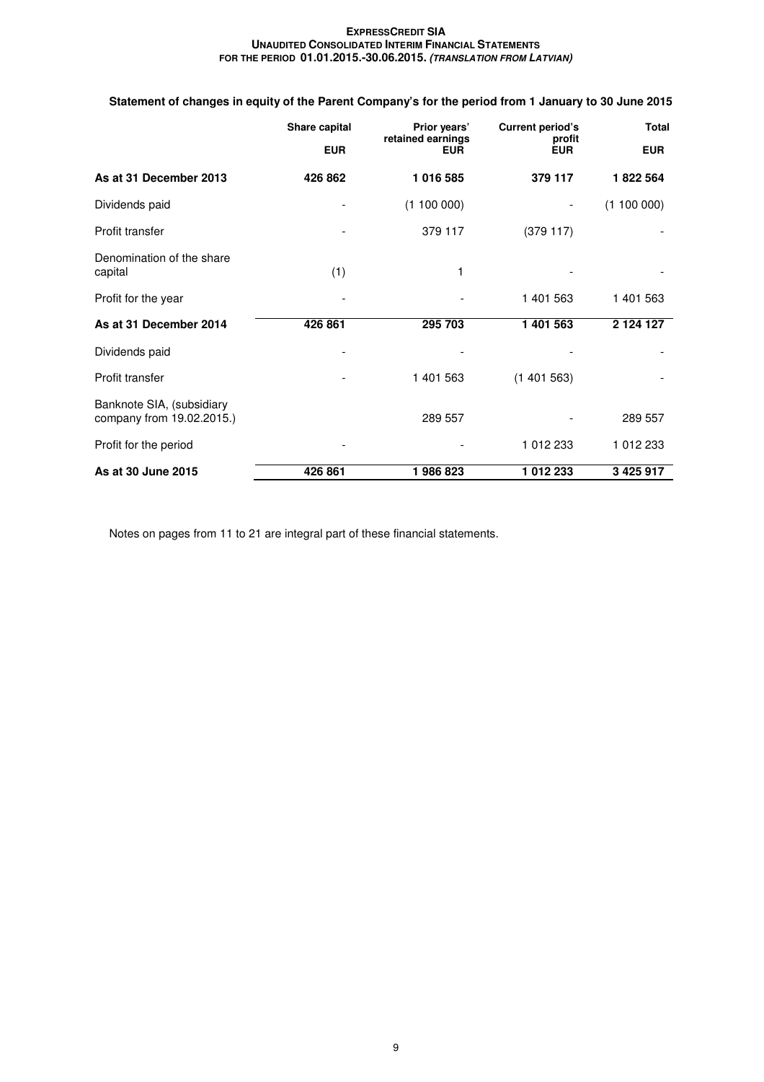# **Statement of changes in equity of the Parent Company's for the period from 1 January to 30 June 2015**

|                                                        | Share capital<br>Prior years' |                                 | <b>Current period's</b> | <b>Total</b>  |  |
|--------------------------------------------------------|-------------------------------|---------------------------------|-------------------------|---------------|--|
|                                                        | <b>EUR</b>                    | retained earnings<br><b>EUR</b> | profit<br><b>EUR</b>    | <b>EUR</b>    |  |
| As at 31 December 2013                                 | 426 862                       | 1 016 585                       | 379 117                 | 1822 564      |  |
| Dividends paid                                         |                               | (1100000)                       |                         | (1100000)     |  |
| Profit transfer                                        |                               | 379 117                         | (379117)                |               |  |
| Denomination of the share<br>capital                   | (1)                           | 1                               |                         |               |  |
| Profit for the year                                    |                               |                                 | 1 401 563               | 1 401 563     |  |
| As at 31 December 2014                                 | 426 861                       | 295 703                         | 1 401 563               | 2 124 127     |  |
| Dividends paid                                         |                               |                                 |                         |               |  |
| Profit transfer                                        |                               | 1 401 563                       | (1401563)               |               |  |
| Banknote SIA, (subsidiary<br>company from 19.02.2015.) |                               | 289 557                         |                         | 289 557       |  |
| Profit for the period                                  |                               |                                 | 1 012 233               | 1 012 233     |  |
| As at 30 June 2015                                     | 426 861                       | 1986823                         | 1012233                 | 3 4 2 5 9 1 7 |  |

Notes on pages from 11 to 21 are integral part of these financial statements.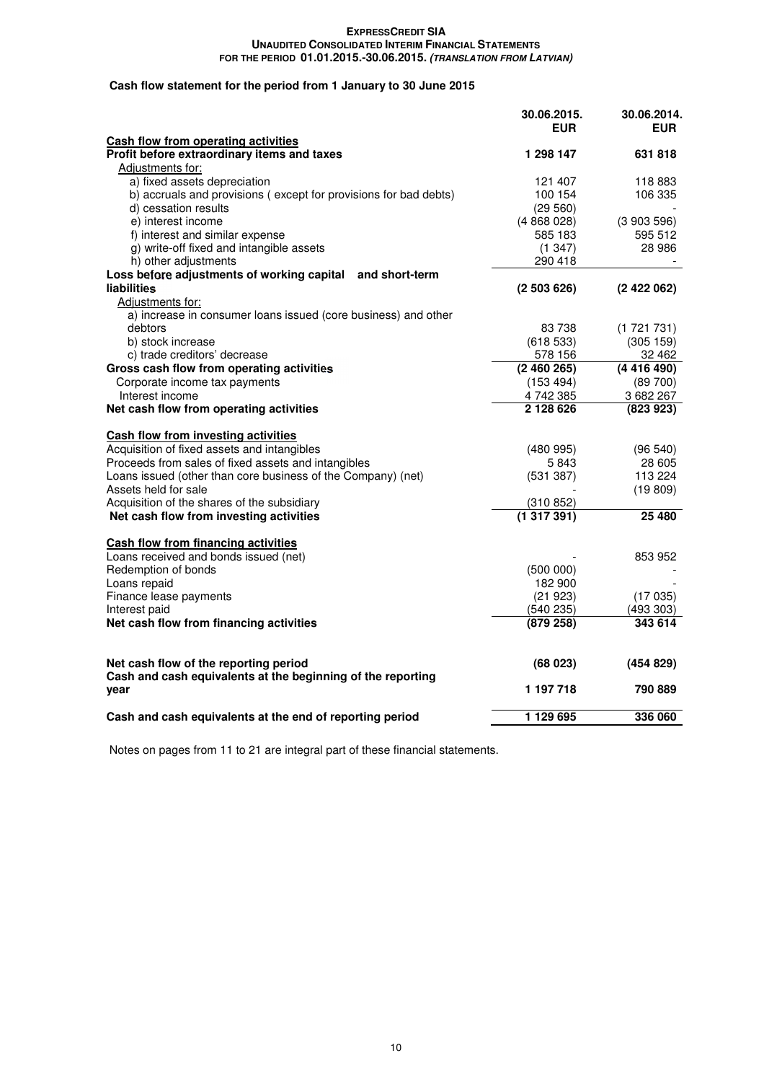# **Cash flow statement for the period from 1 January to 30 June 2015**

|                                                                                           | 30.06.2015.<br><b>EUR</b> | 30.06.2014.<br><b>EUR</b> |
|-------------------------------------------------------------------------------------------|---------------------------|---------------------------|
| <b>Cash flow from operating activities</b><br>Profit before extraordinary items and taxes | 1 298 147                 | 631 818                   |
|                                                                                           |                           |                           |
| Adjustments for:<br>a) fixed assets depreciation                                          | 121 407                   | 118 883                   |
| b) accruals and provisions (except for provisions for bad debts)                          | 100 154                   | 106 335                   |
| d) cessation results                                                                      | (29 560)                  |                           |
| e) interest income                                                                        | (4868028)                 | (3903596)                 |
| f) interest and similar expense                                                           | 585 183                   | 595 512                   |
| g) write-off fixed and intangible assets                                                  | (1347)                    | 28 986                    |
| h) other adjustments                                                                      | 290 418                   |                           |
| Loss before adjustments of working capital and short-term                                 |                           |                           |
| <b>liabilities</b>                                                                        | (2503626)                 | (2422062)                 |
| Adjustments for:                                                                          |                           |                           |
| a) increase in consumer loans issued (core business) and other                            |                           |                           |
| debtors                                                                                   | 83 738                    | (1721731)                 |
| b) stock increase                                                                         | (618533)                  | (305 159)                 |
| c) trade creditors' decrease                                                              | 578 156                   | 32 462                    |
| Gross cash flow from operating activities                                                 | (2460265)                 | (4416490)                 |
| Corporate income tax payments                                                             | (153 494)                 | $(89\ 700)$               |
| Interest income                                                                           | 4742385                   | 3 682 267                 |
| Net cash flow from operating activities                                                   | 2 128 626                 | (823923)                  |
| Cash flow from investing activities                                                       |                           |                           |
| Acquisition of fixed assets and intangibles                                               | (480995)                  | (96 540)                  |
| Proceeds from sales of fixed assets and intangibles                                       | 5843                      | 28 605                    |
| Loans issued (other than core business of the Company) (net)                              | (531 387)                 | 113 224                   |
| Assets held for sale                                                                      |                           | (19809)                   |
| Acquisition of the shares of the subsidiary                                               | (310 852)                 |                           |
| Net cash flow from investing activities                                                   | (1317391)                 | 25 480                    |
| <b>Cash flow from financing activities</b>                                                |                           |                           |
| Loans received and bonds issued (net)                                                     |                           | 853 952                   |
| Redemption of bonds                                                                       | (500000)                  |                           |
| Loans repaid                                                                              | 182 900                   |                           |
| Finance lease payments                                                                    | (21923)                   | (17035)                   |
| Interest paid                                                                             | (540 235)                 | (493 303)                 |
| Net cash flow from financing activities                                                   | (879 258)                 | 343 614                   |
|                                                                                           |                           |                           |
| Net cash flow of the reporting period                                                     | (68023)                   | (454 829)                 |
| Cash and cash equivalents at the beginning of the reporting                               |                           |                           |
| year                                                                                      | 1 197 718                 | 790 889                   |
| Cash and cash equivalents at the end of reporting period                                  | 1 129 695                 | 336 060                   |

Notes on pages from 11 to 21 are integral part of these financial statements.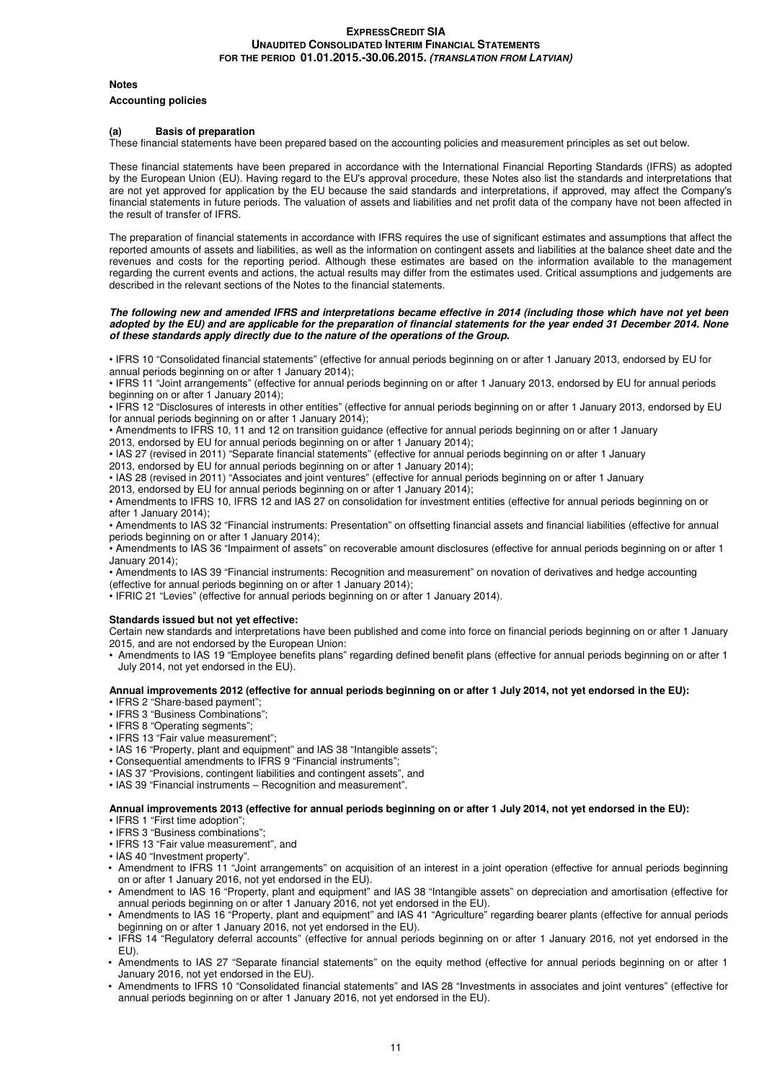#### **Notes**

#### **Accounting policies**

#### **(a) Basis of preparation**

These financial statements have been prepared based on the accounting policies and measurement principles as set out below.

These financial statements have been prepared in accordance with the International Financial Reporting Standards (IFRS) as adopted by the European Union (EU). Having regard to the EU's approval procedure, these Notes also list the standards and interpretations that are not yet approved for application by the EU because the said standards and interpretations, if approved, may affect the Company's financial statements in future periods. The valuation of assets and liabilities and net profit data of the company have not been affected in the result of transfer of IFRS.

The preparation of financial statements in accordance with IFRS requires the use of significant estimates and assumptions that affect the reported amounts of assets and liabilities, as well as the information on contingent assets and liabilities at the balance sheet date and the revenues and costs for the reporting period. Although these estimates are based on the information available to the management regarding the current events and actions, the actual results may differ from the estimates used. Critical assumptions and judgements are described in the relevant sections of the Notes to the financial statements.

#### **The following new and amended IFRS and interpretations became effective in 2014 (including those which have not yet been adopted by the EU) and are applicable for the preparation of financial statements for the year ended 31 December 2014. None of these standards apply directly due to the nature of the operations of the Group.**

• IFRS 10 "Consolidated financial statements" (effective for annual periods beginning on or after 1 January 2013, endorsed by EU for annual periods beginning on or after 1 January 2014);

• IFRS 11 "Joint arrangements" (effective for annual periods beginning on or after 1 January 2013, endorsed by EU for annual periods beginning on or after 1 January 2014);

• IFRS 12 "Disclosures of interests in other entities" (effective for annual periods beginning on or after 1 January 2013, endorsed by EU for annual periods beginning on or after 1 January 2014);

• Amendments to IFRS 10, 11 and 12 on transition guidance (effective for annual periods beginning on or after 1 January

2013, endorsed by EU for annual periods beginning on or after 1 January 2014); • IAS 27 (revised in 2011) "Separate financial statements" (effective for annual periods beginning on or after 1 January

2013, endorsed by EU for annual periods beginning on or after 1 January 2014);

• IAS 28 (revised in 2011) "Associates and joint ventures" (effective for annual periods beginning on or after 1 January

2013, endorsed by EU for annual periods beginning on or after 1 January 2014);

• Amendments to IFRS 10, IFRS 12 and IAS 27 on consolidation for investment entities (effective for annual periods beginning on or after 1 January 2014);

• Amendments to IAS 32 "Financial instruments: Presentation" on offsetting financial assets and financial liabilities (effective for annual periods beginning on or after 1 January 2014);

• Amendments to IAS 36 "Impairment of assets" on recoverable amount disclosures (effective for annual periods beginning on or after 1 January 2014);

• Amendments to IAS 39 "Financial instruments: Recognition and measurement" on novation of derivatives and hedge accounting (effective for annual periods beginning on or after 1 January 2014);

• IFRIC 21 "Levies" (effective for annual periods beginning on or after 1 January 2014).

#### **Standards issued but not yet effective:**

Certain new standards and interpretations have been published and come into force on financial periods beginning on or after 1 January 2015, and are not endorsed by the European Union:

• Amendments to IAS 19 "Employee benefits plans" regarding defined benefit plans (effective for annual periods beginning on or after 1 July 2014, not yet endorsed in the EU).

#### **Annual improvements 2012 (effective for annual periods beginning on or after 1 July 2014, not yet endorsed in the EU):**

- IFRS 2 "Share-based payment";
- IFRS 3 "Business Combinations";
- IFRS 8 "Operating segments";
- IFRS 13 "Fair value measurement";
- IAS 16 "Property, plant and equipment" and IAS 38 "Intangible assets";
- Consequential amendments to IFRS 9 "Financial instruments":
- IAS 37 "Provisions, contingent liabilities and contingent assets", and
- IAS 39 "Financial instruments Recognition and measurement".

#### **Annual improvements 2013 (effective for annual periods beginning on or after 1 July 2014, not yet endorsed in the EU):**

• IFRS 1 "First time adoption";

- IFRS 3 "Business combinations";
- IFRS 13 "Fair value measurement", and
- IAS 40 "Investment property".
- Amendment to IFRS 11 "Joint arrangements" on acquisition of an interest in a joint operation (effective for annual periods beginning on or after 1 January 2016, not yet endorsed in the EU).
- Amendment to IAS 16 "Property, plant and equipment" and IAS 38 "Intangible assets" on depreciation and amortisation (effective for annual periods beginning on or after 1 January 2016, not yet endorsed in the EU).
- Amendments to IAS 16 "Property, plant and equipment" and IAS 41 "Agriculture" regarding bearer plants (effective for annual periods beginning on or after 1 January 2016, not yet endorsed in the EU).
- IFRS 14 "Regulatory deferral accounts" (effective for annual periods beginning on or after 1 January 2016, not yet endorsed in the EU).
- Amendments to IAS 27 "Separate financial statements" on the equity method (effective for annual periods beginning on or after 1 January 2016, not yet endorsed in the EU).
- Amendments to IFRS 10 "Consolidated financial statements" and IAS 28 "Investments in associates and joint ventures" (effective for annual periods beginning on or after 1 January 2016, not yet endorsed in the EU).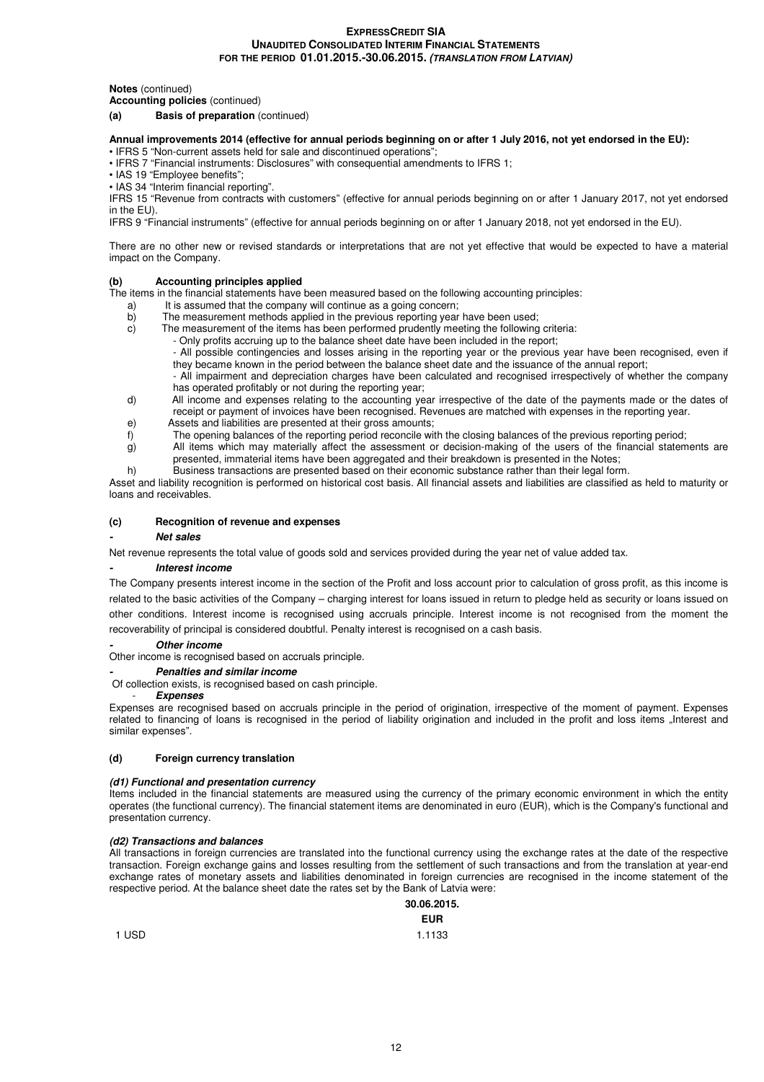**Notes** (continued)

**Accounting policies** (continued)

#### **(a) Basis of preparation** (continued)

# **Annual improvements 2014 (effective for annual periods beginning on or after 1 July 2016, not yet endorsed in the EU):**

• IFRS 5 "Non-current assets held for sale and discontinued operations"; • IFRS 7 "Financial instruments: Disclosures" with consequential amendments to IFRS 1;

- IAS 19 "Employee benefits";
- IAS 34 "Interim financial reporting".

IFRS 15 "Revenue from contracts with customers" (effective for annual periods beginning on or after 1 January 2017, not yet endorsed in the EU).

IFRS 9 "Financial instruments" (effective for annual periods beginning on or after 1 January 2018, not yet endorsed in the EU).

There are no other new or revised standards or interpretations that are not yet effective that would be expected to have a material impact on the Company.

#### **(b) Accounting principles applied**

The items in the financial statements have been measured based on the following accounting principles:

- a) It is assumed that the company will continue as a going concern;<br>b) The measurement methods applied in the previous reporting year
- b) The measurement methods applied in the previous reporting year have been used;<br>c) The measurement of the items has been performed prudently meeting the following
	- The measurement of the items has been performed prudently meeting the following criteria:

- Only profits accruing up to the balance sheet date have been included in the report;

- All possible contingencies and losses arising in the reporting year or the previous year have been recognised, even if they became known in the period between the balance sheet date and the issuance of the annual report;
- All impairment and depreciation charges have been calculated and recognised irrespectively of whether the company
- has operated profitably or not during the reporting year;
- d) All income and expenses relating to the accounting year irrespective of the date of the payments made or the dates of receipt or payment of invoices have been recognised. Revenues are matched with expenses in the reporting year.
- e) Assets and liabilities are presented at their gross amounts;
- f) The opening balances of the reporting period reconcile with the closing balances of the previous reporting period;
- g) All items which may materially affect the assessment or decision-making of the users of the financial statements are presented, immaterial items have been aggregated and their breakdown is presented in the Notes;
- h) Business transactions are presented based on their economic substance rather than their legal form.

Asset and liability recognition is performed on historical cost basis. All financial assets and liabilities are classified as held to maturity or loans and receivables.

#### **(c) Recognition of revenue and expenses**

#### **- Net sales**

Net revenue represents the total value of goods sold and services provided during the year net of value added tax.

#### **- Interest income**

The Company presents interest income in the section of the Profit and loss account prior to calculation of gross profit, as this income is related to the basic activities of the Company – charging interest for loans issued in return to pledge held as security or loans issued on other conditions. Interest income is recognised using accruals principle. Interest income is not recognised from the moment the recoverability of principal is considered doubtful. Penalty interest is recognised on a cash basis.

#### **Other income**

Other income is recognised based on accruals principle.

**- Penalties and similar income** 

Of collection exists, is recognised based on cash principle.

#### - **Expenses**

Expenses are recognised based on accruals principle in the period of origination, irrespective of the moment of payment. Expenses related to financing of loans is recognised in the period of liability origination and included in the profit and loss items "Interest and similar expenses".

#### **(d) Foreign currency translation**

#### **(d1) Functional and presentation currency**

Items included in the financial statements are measured using the currency of the primary economic environment in which the entity operates (the functional currency). The financial statement items are denominated in euro (EUR), which is the Company's functional and presentation currency.

#### **(d2) Transactions and balances**

All transactions in foreign currencies are translated into the functional currency using the exchange rates at the date of the respective transaction. Foreign exchange gains and losses resulting from the settlement of such transactions and from the translation at year-end exchange rates of monetary assets and liabilities denominated in foreign currencies are recognised in the income statement of the respective period. At the balance sheet date the rates set by the Bank of Latvia were:

# **30.06.2015.**

|       | <b>EUR</b> |
|-------|------------|
| 1 USD | 1.1133     |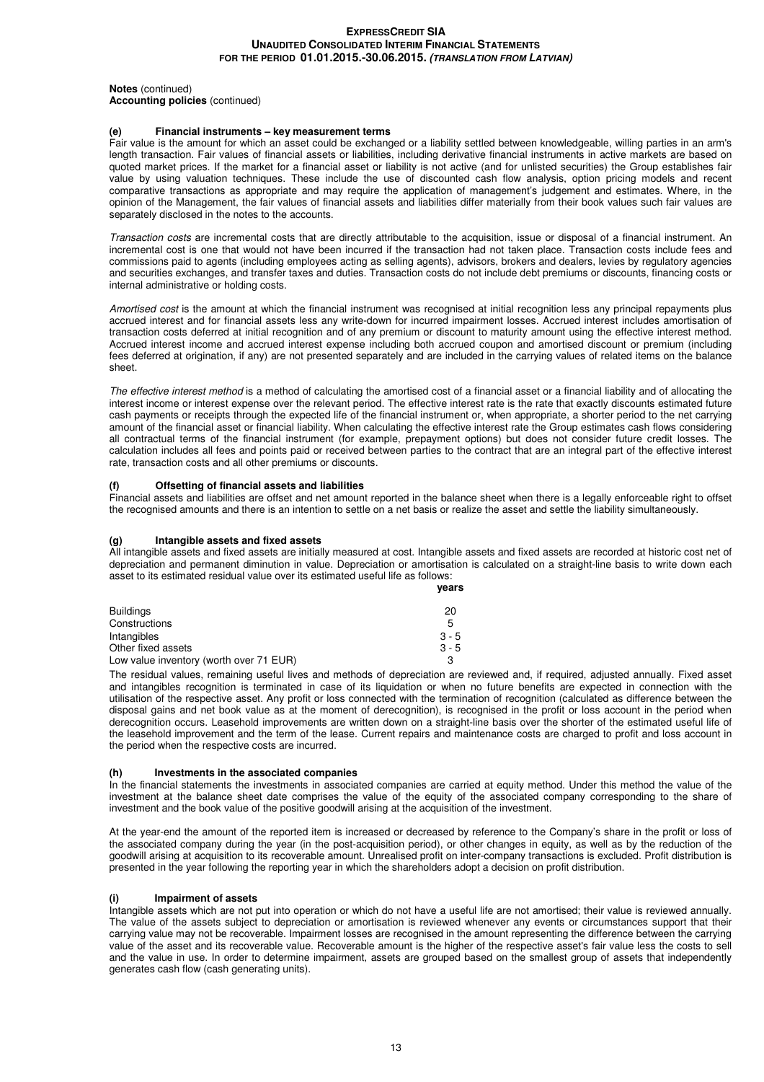**Notes** (continued) **Accounting policies** (continued)

## **(e) Financial instruments – key measurement terms**

Fair value is the amount for which an asset could be exchanged or a liability settled between knowledgeable, willing parties in an arm's length transaction. Fair values of financial assets or liabilities, including derivative financial instruments in active markets are based on quoted market prices. If the market for a financial asset or liability is not active (and for unlisted securities) the Group establishes fair value by using valuation techniques. These include the use of discounted cash flow analysis, option pricing models and recent comparative transactions as appropriate and may require the application of management's judgement and estimates. Where, in the opinion of the Management, the fair values of financial assets and liabilities differ materially from their book values such fair values are separately disclosed in the notes to the accounts.

Transaction costs are incremental costs that are directly attributable to the acquisition, issue or disposal of a financial instrument. An incremental cost is one that would not have been incurred if the transaction had not taken place. Transaction costs include fees and commissions paid to agents (including employees acting as selling agents), advisors, brokers and dealers, levies by regulatory agencies and securities exchanges, and transfer taxes and duties. Transaction costs do not include debt premiums or discounts, financing costs or internal administrative or holding costs.

Amortised cost is the amount at which the financial instrument was recognised at initial recognition less any principal repayments plus accrued interest and for financial assets less any write-down for incurred impairment losses. Accrued interest includes amortisation of transaction costs deferred at initial recognition and of any premium or discount to maturity amount using the effective interest method. Accrued interest income and accrued interest expense including both accrued coupon and amortised discount or premium (including fees deferred at origination, if any) are not presented separately and are included in the carrying values of related items on the balance sheet.

The effective interest method is a method of calculating the amortised cost of a financial asset or a financial liability and of allocating the interest income or interest expense over the relevant period. The effective interest rate is the rate that exactly discounts estimated future cash payments or receipts through the expected life of the financial instrument or, when appropriate, a shorter period to the net carrying amount of the financial asset or financial liability. When calculating the effective interest rate the Group estimates cash flows considering all contractual terms of the financial instrument (for example, prepayment options) but does not consider future credit losses. The calculation includes all fees and points paid or received between parties to the contract that are an integral part of the effective interest rate, transaction costs and all other premiums or discounts.

#### **(f) Offsetting of financial assets and liabilities**

Financial assets and liabilities are offset and net amount reported in the balance sheet when there is a legally enforceable right to offset the recognised amounts and there is an intention to settle on a net basis or realize the asset and settle the liability simultaneously.

#### **(g) Intangible assets and fixed assets**

All intangible assets and fixed assets are initially measured at cost. Intangible assets and fixed assets are recorded at historic cost net of depreciation and permanent diminution in value. Depreciation or amortisation is calculated on a straight-line basis to write down each asset to its estimated residual value over its estimated useful life as follows:

|                                         | vears   |
|-----------------------------------------|---------|
| <b>Buildings</b>                        | 20      |
| Constructions                           | 5       |
| Intangibles                             | $3 - 5$ |
| Other fixed assets                      | $3 - 5$ |
| Low value inventory (worth over 71 EUR) |         |

The residual values, remaining useful lives and methods of depreciation are reviewed and, if required, adjusted annually. Fixed asset and intangibles recognition is terminated in case of its liquidation or when no future benefits are expected in connection with the utilisation of the respective asset. Any profit or loss connected with the termination of recognition (calculated as difference between the disposal gains and net book value as at the moment of derecognition), is recognised in the profit or loss account in the period when derecognition occurs. Leasehold improvements are written down on a straight-line basis over the shorter of the estimated useful life of the leasehold improvement and the term of the lease. Current repairs and maintenance costs are charged to profit and loss account in the period when the respective costs are incurred.

#### **(h) Investments in the associated companies**

In the financial statements the investments in associated companies are carried at equity method. Under this method the value of the investment at the balance sheet date comprises the value of the equity of the associated company corresponding to the share of investment and the book value of the positive goodwill arising at the acquisition of the investment.

At the year-end the amount of the reported item is increased or decreased by reference to the Company's share in the profit or loss of the associated company during the year (in the post-acquisition period), or other changes in equity, as well as by the reduction of the goodwill arising at acquisition to its recoverable amount. Unrealised profit on inter-company transactions is excluded. Profit distribution is presented in the year following the reporting year in which the shareholders adopt a decision on profit distribution.

#### **(i) Impairment of assets**

Intangible assets which are not put into operation or which do not have a useful life are not amortised; their value is reviewed annually. The value of the assets subject to depreciation or amortisation is reviewed whenever any events or circumstances support that their carrying value may not be recoverable. Impairment losses are recognised in the amount representing the difference between the carrying value of the asset and its recoverable value. Recoverable amount is the higher of the respective asset's fair value less the costs to sell and the value in use. In order to determine impairment, assets are grouped based on the smallest group of assets that independently generates cash flow (cash generating units).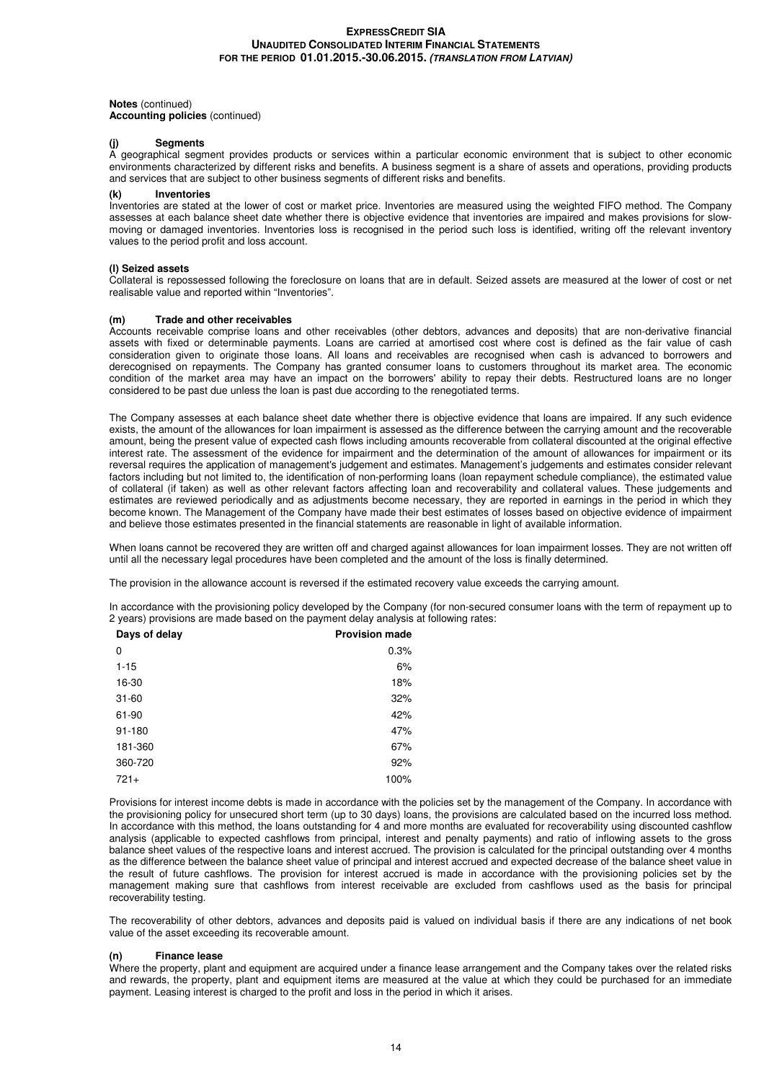# **Notes** (continued) **Accounting policies** (continued)

#### **(j) Segments**

A geographical segment provides products or services within a particular economic environment that is subject to other economic environments characterized by different risks and benefits. A business segment is a share of assets and operations, providing products and services that are subject to other business segments of different risks and benefits.

#### **(k) Inventories**

Inventories are stated at the lower of cost or market price. Inventories are measured using the weighted FIFO method. The Company assesses at each balance sheet date whether there is objective evidence that inventories are impaired and makes provisions for slowmoving or damaged inventories. Inventories loss is recognised in the period such loss is identified, writing off the relevant inventory values to the period profit and loss account.

#### **(l) Seized assets**

Collateral is repossessed following the foreclosure on loans that are in default. Seized assets are measured at the lower of cost or net realisable value and reported within "Inventories".

#### **(m) Trade and other receivables**

Accounts receivable comprise loans and other receivables (other debtors, advances and deposits) that are non-derivative financial assets with fixed or determinable payments. Loans are carried at amortised cost where cost is defined as the fair value of cash consideration given to originate those loans. All loans and receivables are recognised when cash is advanced to borrowers and derecognised on repayments. The Company has granted consumer loans to customers throughout its market area. The economic condition of the market area may have an impact on the borrowers' ability to repay their debts. Restructured loans are no longer considered to be past due unless the loan is past due according to the renegotiated terms.

The Company assesses at each balance sheet date whether there is objective evidence that loans are impaired. If any such evidence exists, the amount of the allowances for loan impairment is assessed as the difference between the carrying amount and the recoverable amount, being the present value of expected cash flows including amounts recoverable from collateral discounted at the original effective interest rate. The assessment of the evidence for impairment and the determination of the amount of allowances for impairment or its reversal requires the application of management's judgement and estimates. Management's judgements and estimates consider relevant factors including but not limited to, the identification of non-performing loans (loan repayment schedule compliance), the estimated value of collateral (if taken) as well as other relevant factors affecting loan and recoverability and collateral values. These judgements and estimates are reviewed periodically and as adjustments become necessary, they are reported in earnings in the period in which they become known. The Management of the Company have made their best estimates of losses based on objective evidence of impairment and believe those estimates presented in the financial statements are reasonable in light of available information.

When loans cannot be recovered they are written off and charged against allowances for loan impairment losses. They are not written off until all the necessary legal procedures have been completed and the amount of the loss is finally determined.

The provision in the allowance account is reversed if the estimated recovery value exceeds the carrying amount.

In accordance with the provisioning policy developed by the Company (for non-secured consumer loans with the term of repayment up to 2 years) provisions are made based on the payment delay analysis at following rates:

| Days of delay | <b>Provision made</b> |
|---------------|-----------------------|
| 0             | 0.3%                  |
| $1 - 15$      | 6%                    |
| 16-30         | 18%                   |
| $31 - 60$     | 32%                   |
| 61-90         | 42%                   |
| 91-180        | 47%                   |
| 181-360       | 67%                   |
| 360-720       | 92%                   |
| $721+$        | 100%                  |

Provisions for interest income debts is made in accordance with the policies set by the management of the Company. In accordance with the provisioning policy for unsecured short term (up to 30 days) loans, the provisions are calculated based on the incurred loss method. In accordance with this method, the loans outstanding for 4 and more months are evaluated for recoverability using discounted cashflow analysis (applicable to expected cashflows from principal, interest and penalty payments) and ratio of inflowing assets to the gross balance sheet values of the respective loans and interest accrued. The provision is calculated for the principal outstanding over 4 months as the difference between the balance sheet value of principal and interest accrued and expected decrease of the balance sheet value in the result of future cashflows. The provision for interest accrued is made in accordance with the provisioning policies set by the management making sure that cashflows from interest receivable are excluded from cashflows used as the basis for principal recoverability testing.

The recoverability of other debtors, advances and deposits paid is valued on individual basis if there are any indications of net book value of the asset exceeding its recoverable amount.

#### **(n) Finance lease**

Where the property, plant and equipment are acquired under a finance lease arrangement and the Company takes over the related risks and rewards, the property, plant and equipment items are measured at the value at which they could be purchased for an immediate payment. Leasing interest is charged to the profit and loss in the period in which it arises.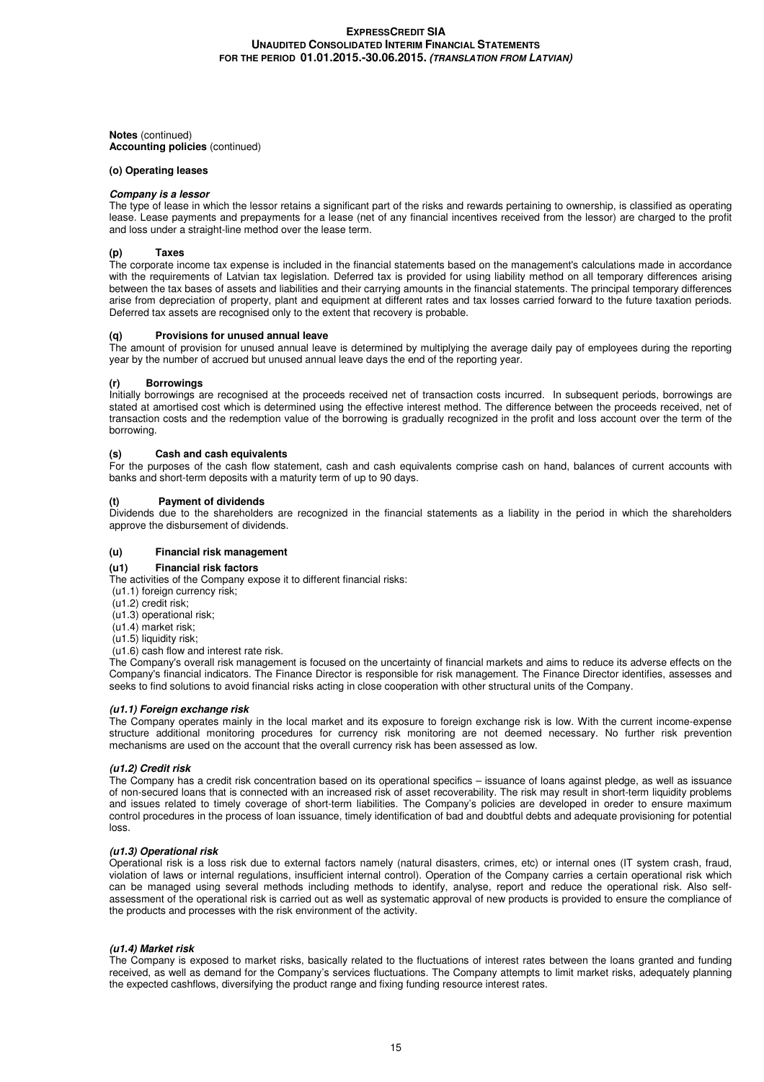**Notes** (continued) **Accounting policies** (continued)

#### **(o) Operating leases**

#### **Company is a lessor**

The type of lease in which the lessor retains a significant part of the risks and rewards pertaining to ownership, is classified as operating lease. Lease payments and prepayments for a lease (net of any financial incentives received from the lessor) are charged to the profit and loss under a straight-line method over the lease term.

#### **(p) Taxes**

The corporate income tax expense is included in the financial statements based on the management's calculations made in accordance with the requirements of Latvian tax legislation. Deferred tax is provided for using liability method on all temporary differences arising between the tax bases of assets and liabilities and their carrying amounts in the financial statements. The principal temporary differences arise from depreciation of property, plant and equipment at different rates and tax losses carried forward to the future taxation periods. Deferred tax assets are recognised only to the extent that recovery is probable.

#### **(q) Provisions for unused annual leave**

The amount of provision for unused annual leave is determined by multiplying the average daily pay of employees during the reporting year by the number of accrued but unused annual leave days the end of the reporting year.

#### **(r) Borrowings**

Initially borrowings are recognised at the proceeds received net of transaction costs incurred. In subsequent periods, borrowings are stated at amortised cost which is determined using the effective interest method. The difference between the proceeds received, net of transaction costs and the redemption value of the borrowing is gradually recognized in the profit and loss account over the term of the borrowing.

#### **(s) Cash and cash equivalents**

For the purposes of the cash flow statement, cash and cash equivalents comprise cash on hand, balances of current accounts with banks and short-term deposits with a maturity term of up to 90 days.

#### **(t) Payment of dividends**

Dividends due to the shareholders are recognized in the financial statements as a liability in the period in which the shareholders approve the disbursement of dividends.

#### **(u) Financial risk management**

#### **(u1) Financial risk factors**

The activities of the Company expose it to different financial risks:

- (u1.1) foreign currency risk;
- $(u1.2)$  credit risk;
- (u1.3) operational risk;
- (u1.4) market risk;
- (u1.5) liquidity risk; (u1.6) cash flow and interest rate risk.

The Company's overall risk management is focused on the uncertainty of financial markets and aims to reduce its adverse effects on the Company's financial indicators. The Finance Director is responsible for risk management. The Finance Director identifies, assesses and seeks to find solutions to avoid financial risks acting in close cooperation with other structural units of the Company.

#### **(u1.1) Foreign exchange risk**

The Company operates mainly in the local market and its exposure to foreign exchange risk is low. With the current income-expense structure additional monitoring procedures for currency risk monitoring are not deemed necessary. No further risk prevention mechanisms are used on the account that the overall currency risk has been assessed as low.

#### **(u1.2) Credit risk**

The Company has a credit risk concentration based on its operational specifics – issuance of loans against pledge, as well as issuance of non-secured loans that is connected with an increased risk of asset recoverability. The risk may result in short-term liquidity problems and issues related to timely coverage of short-term liabilities. The Company's policies are developed in oreder to ensure maximum control procedures in the process of loan issuance, timely identification of bad and doubtful debts and adequate provisioning for potential loss.

#### **(u1.3) Operational risk**

Operational risk is a loss risk due to external factors namely (natural disasters, crimes, etc) or internal ones (IT system crash, fraud, violation of laws or internal regulations, insufficient internal control). Operation of the Company carries a certain operational risk which can be managed using several methods including methods to identify, analyse, report and reduce the operational risk. Also selfassessment of the operational risk is carried out as well as systematic approval of new products is provided to ensure the compliance of the products and processes with the risk environment of the activity.

#### **(u1.4) Market risk**

The Company is exposed to market risks, basically related to the fluctuations of interest rates between the loans granted and funding received, as well as demand for the Company's services fluctuations. The Company attempts to limit market risks, adequately planning the expected cashflows, diversifying the product range and fixing funding resource interest rates.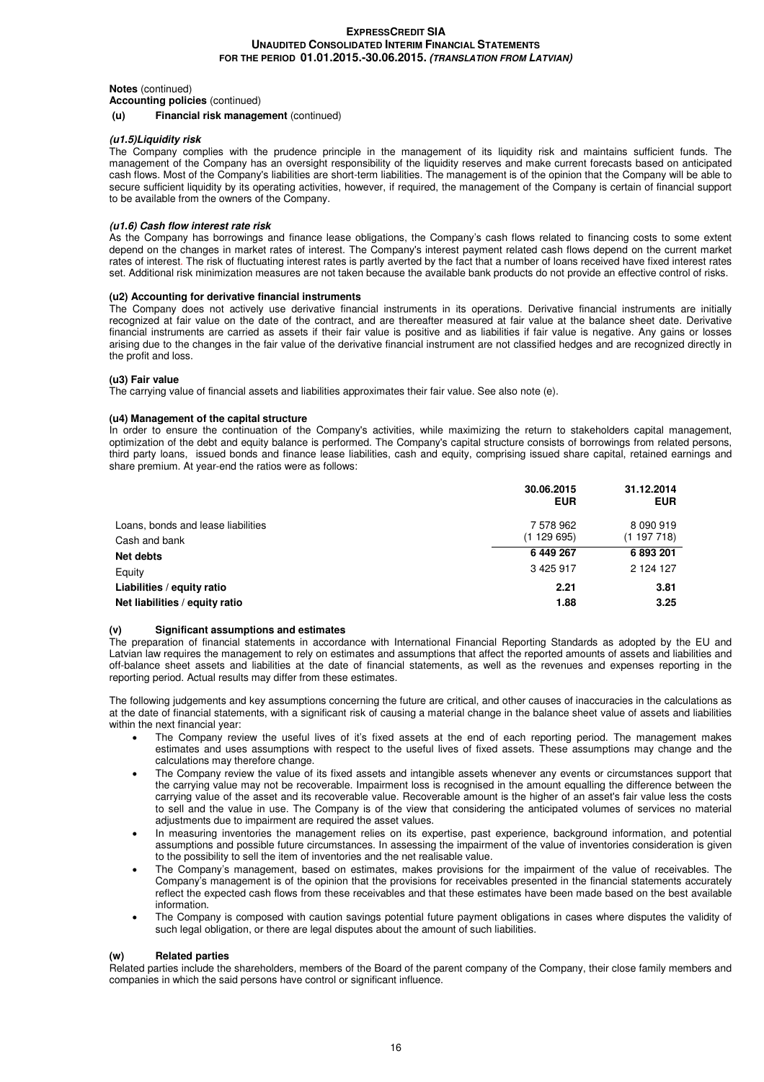#### **Notes** (continued)

**Accounting policies** (continued)

#### **(u) Financial risk management** (continued)

#### **(u1.5)Liquidity risk**

The Company complies with the prudence principle in the management of its liquidity risk and maintains sufficient funds. The management of the Company has an oversight responsibility of the liquidity reserves and make current forecasts based on anticipated cash flows. Most of the Company's liabilities are short-term liabilities. The management is of the opinion that the Company will be able to secure sufficient liquidity by its operating activities, however, if required, the management of the Company is certain of financial support to be available from the owners of the Company.

#### **(u1.6) Cash flow interest rate risk**

As the Company has borrowings and finance lease obligations, the Company's cash flows related to financing costs to some extent depend on the changes in market rates of interest. The Company's interest payment related cash flows depend on the current market rates of interest. The risk of fluctuating interest rates is partly averted by the fact that a number of loans received have fixed interest rates set. Additional risk minimization measures are not taken because the available bank products do not provide an effective control of risks.

# **(u2) Accounting for derivative financial instruments**

The Company does not actively use derivative financial instruments in its operations. Derivative financial instruments are initially recognized at fair value on the date of the contract, and are thereafter measured at fair value at the balance sheet date. Derivative financial instruments are carried as assets if their fair value is positive and as liabilities if fair value is negative. Any gains or losses arising due to the changes in the fair value of the derivative financial instrument are not classified hedges and are recognized directly in the profit and loss.

#### **(u3) Fair value**

The carrying value of financial assets and liabilities approximates their fair value. See also note (e).

#### **(u4) Management of the capital structure**

In order to ensure the continuation of the Company's activities, while maximizing the return to stakeholders capital management, optimization of the debt and equity balance is performed. The Company's capital structure consists of borrowings from related persons, third party loans, issued bonds and finance lease liabilities, cash and equity, comprising issued share capital, retained earnings and share premium. At year-end the ratios were as follows:

|                                                     | 30.06.2015<br><b>EUR</b> | 31.12.2014<br><b>EUR</b>   |
|-----------------------------------------------------|--------------------------|----------------------------|
| Loans, bonds and lease liabilities<br>Cash and bank | 7 578 962<br>(1129695)   | 8 0 9 0 9 1 9<br>(1197718) |
| Net debts                                           | 6 449 267                | 6893201                    |
| Equity                                              | 3 4 2 5 9 1 7            | 2 124 127                  |
| Liabilities / equity ratio                          | 2.21                     | 3.81                       |
| Net liabilities / equity ratio                      | 1.88                     | 3.25                       |

#### **(v) Significant assumptions and estimates**

The preparation of financial statements in accordance with International Financial Reporting Standards as adopted by the EU and Latvian law requires the management to rely on estimates and assumptions that affect the reported amounts of assets and liabilities and off-balance sheet assets and liabilities at the date of financial statements, as well as the revenues and expenses reporting in the reporting period. Actual results may differ from these estimates.

The following judgements and key assumptions concerning the future are critical, and other causes of inaccuracies in the calculations as at the date of financial statements, with a significant risk of causing a material change in the balance sheet value of assets and liabilities within the next financial year:

- The Company review the useful lives of it's fixed assets at the end of each reporting period. The management makes estimates and uses assumptions with respect to the useful lives of fixed assets. These assumptions may change and the calculations may therefore change.
- The Company review the value of its fixed assets and intangible assets whenever any events or circumstances support that the carrying value may not be recoverable. Impairment loss is recognised in the amount equalling the difference between the carrying value of the asset and its recoverable value. Recoverable amount is the higher of an asset's fair value less the costs to sell and the value in use. The Company is of the view that considering the anticipated volumes of services no material adjustments due to impairment are required the asset values.
- In measuring inventories the management relies on its expertise, past experience, background information, and potential assumptions and possible future circumstances. In assessing the impairment of the value of inventories consideration is given to the possibility to sell the item of inventories and the net realisable value.
- The Company's management, based on estimates, makes provisions for the impairment of the value of receivables. The Company's management is of the opinion that the provisions for receivables presented in the financial statements accurately reflect the expected cash flows from these receivables and that these estimates have been made based on the best available information.
- The Company is composed with caution savings potential future payment obligations in cases where disputes the validity of such legal obligation, or there are legal disputes about the amount of such liabilities.

# **(w) Related parties**

Related parties include the shareholders, members of the Board of the parent company of the Company, their close family members and companies in which the said persons have control or significant influence.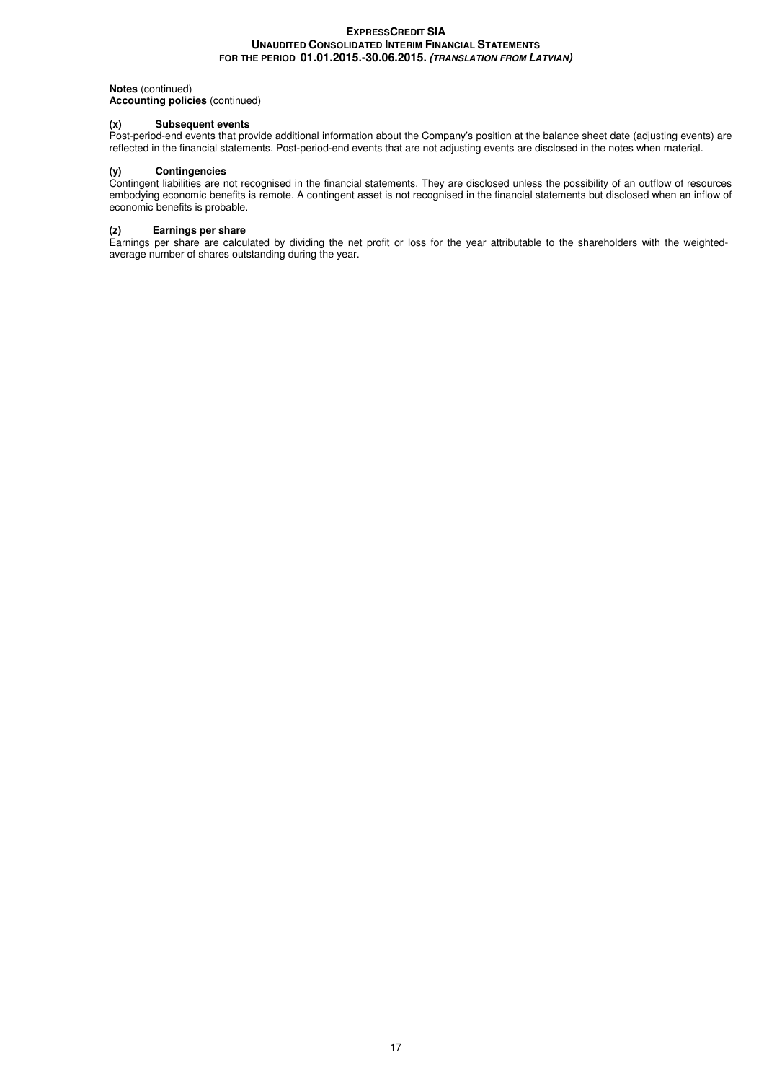# **Notes** (continued)

**Accounting policies** (continued)

# **(x) Subsequent events**

Post-period-end events that provide additional information about the Company's position at the balance sheet date (adjusting events) are reflected in the financial statements. Post-period-end events that are not adjusting events are disclosed in the notes when material.

#### **(y) Contingencies**

Contingent liabilities are not recognised in the financial statements. They are disclosed unless the possibility of an outflow of resources embodying economic benefits is remote. A contingent asset is not recognised in the financial statements but disclosed when an inflow of economic benefits is probable.

#### **(z) Earnings per share**

Earnings per share are calculated by dividing the net profit or loss for the year attributable to the shareholders with the weightedaverage number of shares outstanding during the year.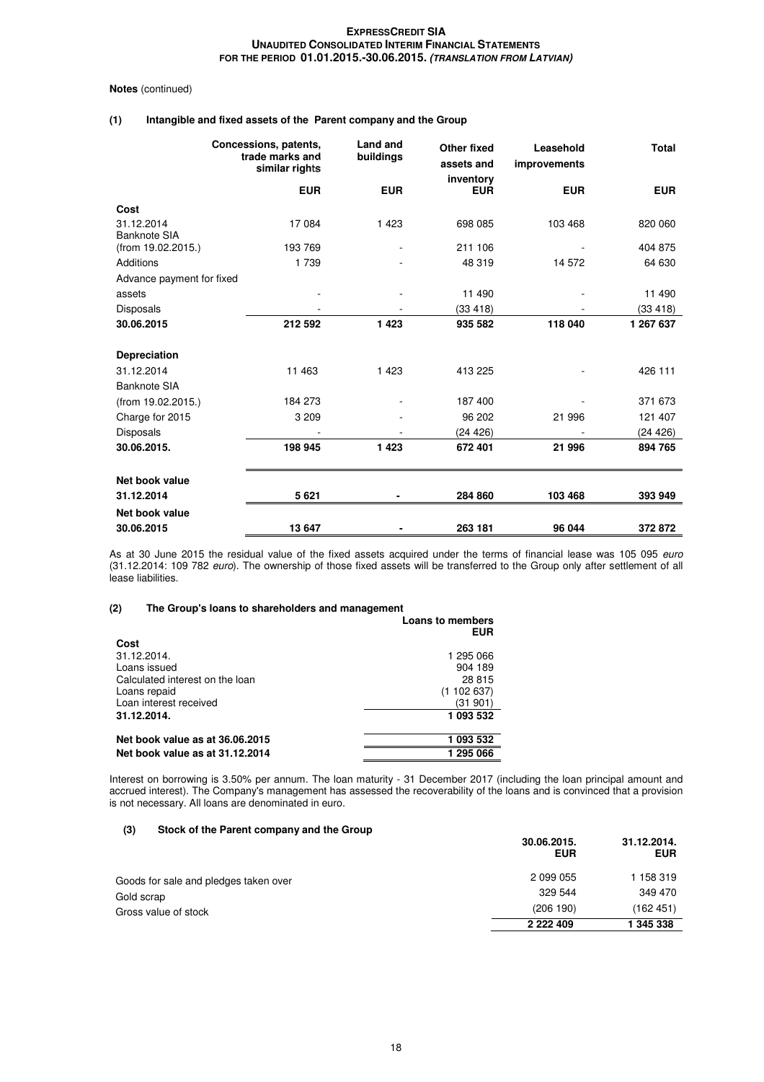#### **Notes** (continued)

# **(1) Intangible and fixed assets of the Parent company and the Group**

|                                   | Concessions, patents,<br>trade marks and<br>similar rights | Land and<br>buildings | <b>Other fixed</b><br>assets and<br>inventory | Leasehold<br>improvements | <b>Total</b> |
|-----------------------------------|------------------------------------------------------------|-----------------------|-----------------------------------------------|---------------------------|--------------|
|                                   | <b>EUR</b>                                                 | <b>EUR</b>            | <b>EUR</b>                                    | <b>EUR</b>                | <b>EUR</b>   |
| Cost                              |                                                            |                       |                                               |                           |              |
| 31.12.2014<br><b>Banknote SIA</b> | 17084                                                      | 1 4 2 3               | 698 085                                       | 103 468                   | 820 060      |
| (from 19.02.2015.)                | 193 769                                                    |                       | 211 106                                       |                           | 404 875      |
| Additions                         | 1 7 3 9                                                    |                       | 48 319                                        | 14 572                    | 64 630       |
| Advance payment for fixed         |                                                            |                       |                                               |                           |              |
| assets                            |                                                            |                       | 11 490                                        |                           | 11 490       |
| <b>Disposals</b>                  |                                                            |                       | (33 418)                                      |                           | (33 418)     |
| 30.06.2015                        | 212 592                                                    | 1423                  | 935 582                                       | 118 040                   | 1 267 637    |
| Depreciation                      |                                                            |                       |                                               |                           |              |
| 31.12.2014                        | 11 463                                                     | 1 4 2 3               | 413 225                                       |                           | 426 111      |
| <b>Banknote SIA</b>               |                                                            |                       |                                               |                           |              |
| (from 19.02.2015.)                | 184 273                                                    |                       | 187 400                                       |                           | 371 673      |
| Charge for 2015                   | 3 2 0 9                                                    |                       | 96 202                                        | 21 996                    | 121 407      |
| <b>Disposals</b>                  |                                                            |                       | (24 426)                                      |                           | (24 426)     |
| 30.06.2015.                       | 198 945                                                    | 1423                  | 672 401                                       | 21 996                    | 894 765      |
| Net book value                    |                                                            |                       |                                               |                           |              |
| 31.12.2014                        | 5621                                                       |                       | 284 860                                       | 103 468                   | 393 949      |
| Net book value                    |                                                            |                       |                                               |                           |              |
| 30.06.2015                        | 13 647                                                     |                       | 263 181                                       | 96 044                    | 372872       |

As at 30 June 2015 the residual value of the fixed assets acquired under the terms of financial lease was 105 095 euro (31.12.2014: 109 782 euro). The ownership of those fixed assets will be transferred to the Group only after settlement of all lease liabilities.

#### **(2) The Group's loans to shareholders and management Loans to members**

|                                 | LUAIIS IU IIICIIIDEIS<br><b>EUR</b> |
|---------------------------------|-------------------------------------|
| Cost                            |                                     |
| 31.12.2014.                     | 1 295 066                           |
| Loans issued                    | 904 189                             |
| Calculated interest on the loan | 28 815                              |
| Loans repaid                    | (1102637)                           |
| Loan interest received          | (31 901)                            |
| 31.12.2014.                     | 1 093 532                           |
| Net book value as at 36.06.2015 | 1 093 532                           |
| Net book value as at 31.12.2014 | 1 295 066                           |

Interest on borrowing is 3.50% per annum. The loan maturity - 31 December 2017 (including the loan principal amount and accrued interest). The Company's management has assessed the recoverability of the loans and is convinced that a provision is not necessary. All loans are denominated in euro.

#### **(3) Stock of the Parent company and the Group**

|                                       | 30.06.2015.<br><b>EUR</b> | 31.12.2014.<br><b>EUR</b> |
|---------------------------------------|---------------------------|---------------------------|
| Goods for sale and pledges taken over | 2 099 055                 | 1 158 319                 |
| Gold scrap                            | 329 544                   | 349 470                   |
| Gross value of stock                  | (206 190)                 | (162451)                  |
|                                       | 2 2 2 4 0 9               | 1 345 338                 |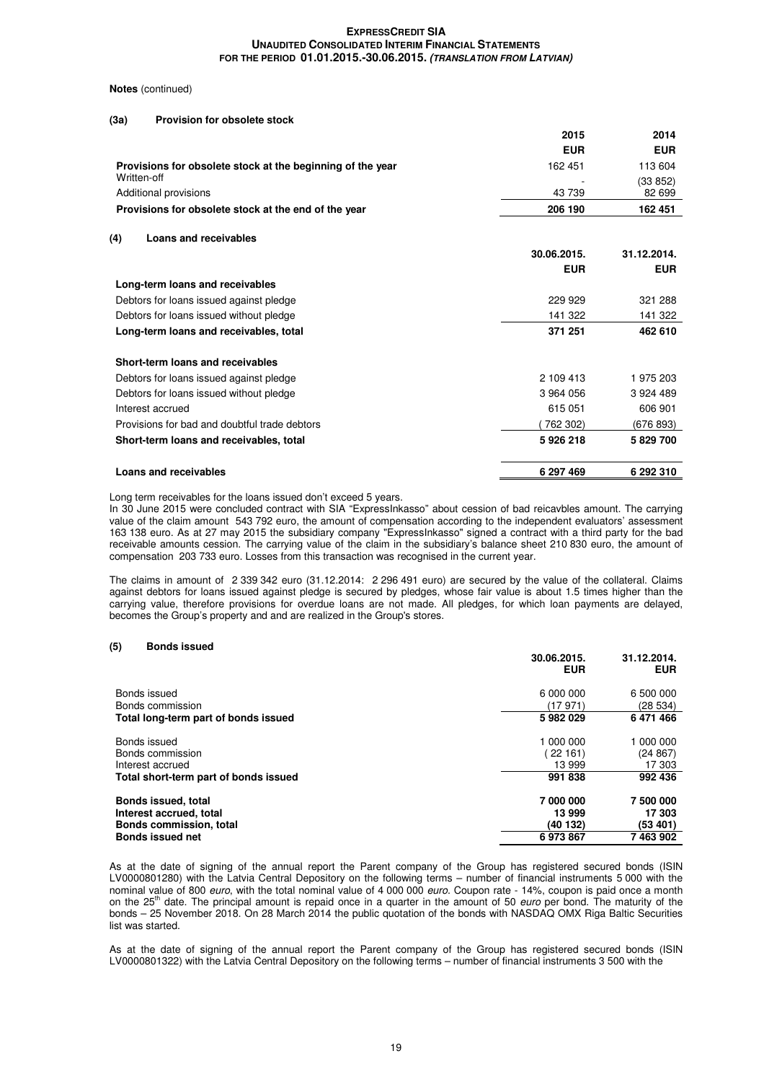#### **Notes** (continued)

#### **(3a) Provision for obsolete stock**

|                                                            | 2015       | 2014       |
|------------------------------------------------------------|------------|------------|
|                                                            | <b>EUR</b> | <b>EUR</b> |
| Provisions for obsolete stock at the beginning of the year | 162 451    | 113 604    |
| Written-off                                                |            | (33 852)   |
| Additional provisions                                      | 43 739     | 82 699     |
| Provisions for obsolete stock at the end of the year       | 206 190    | 162 451    |
|                                                            |            |            |

#### **(4) Loans and receivables**

|                                               | 30.06.2015.<br><b>EUR</b> | 31.12.2014.<br><b>EUR</b> |
|-----------------------------------------------|---------------------------|---------------------------|
| Long-term loans and receivables               |                           |                           |
| Debtors for loans issued against pledge       | 229 929                   | 321 288                   |
| Debtors for loans issued without pledge       | 141 322                   | 141 322                   |
| Long-term loans and receivables, total        | 371 251                   | 462 610                   |
| Short-term loans and receivables              |                           |                           |
| Debtors for loans issued against pledge       | 2 109 413                 | 1975203                   |
| Debtors for loans issued without pledge       | 3 964 056                 | 3 924 489                 |
| Interest accrued                              | 615 051                   | 606 901                   |
| Provisions for bad and doubtful trade debtors | 762 302)                  | (676 893)                 |
| Short-term loans and receivables, total       | 5926218                   | 5 829 700                 |
| Loans and receivables                         | 6 297 469                 | 6 292 310                 |

Long term receivables for the loans issued don't exceed 5 years.

In 30 June 2015 were concluded contract with SIA "ExpressInkasso" about cession of bad reicavbles amount. The carrying value of the claim amount 543 792 euro, the amount of compensation according to the independent evaluators' assessment 163 138 euro. As at 27 may 2015 the subsidiary company "ExpressInkasso" signed a contract with a third party for the bad receivable amounts cession. The carrying value of the claim in the subsidiary's balance sheet 210 830 euro, the amount of compensation 203 733 euro. Losses from this transaction was recognised in the current year.

The claims in amount of 2 339 342 euro (31.12.2014: 2 296 491 euro) are secured by the value of the collateral. Claims against debtors for loans issued against pledge is secured by pledges, whose fair value is about 1.5 times higher than the carrying value, therefore provisions for overdue loans are not made. All pledges, for which loan payments are delayed, becomes the Group's property and and are realized in the Group's stores.

#### **(5) Bonds issued**

|                                                                                                      | 30.06.2015.<br><b>EUR</b>                | 31.12.2014.<br><b>EUR</b>                  |
|------------------------------------------------------------------------------------------------------|------------------------------------------|--------------------------------------------|
| Bonds issued<br>Bonds commission                                                                     | 6 000 000<br>(17971)                     | 6 500 000<br>(28534)                       |
| Total long-term part of bonds issued                                                                 | 5982029                                  | 6471466                                    |
| Bonds issued<br>Bonds commission<br>Interest accrued                                                 | 1 000 000<br>22161<br>13 999             | 1 000 000<br>(24867)<br>17 303             |
| Total short-term part of bonds issued                                                                | 991838                                   | 992 436                                    |
| Bonds issued, total<br>Interest accrued, total<br>Bonds commission, total<br><b>Bonds issued net</b> | 7000000<br>13 999<br>(40 132)<br>6973867 | 7 500 000<br>17 303<br>(53 401)<br>7463902 |
|                                                                                                      |                                          |                                            |

As at the date of signing of the annual report the Parent company of the Group has registered secured bonds (ISIN LV0000801280) with the Latvia Central Depository on the following terms – number of financial instruments 5 000 with the nominal value of 800 euro, with the total nominal value of 4 000 000 euro. Coupon rate - 14%, coupon is paid once a month on the 25<sup>th</sup> date. The principal amount is repaid once in a quarter in the amount of 50 euro per bond. The maturity of the bonds – 25 November 2018. On 28 March 2014 the public quotation of the bonds with NASDAQ OMX Riga Baltic Securities list was started.

As at the date of signing of the annual report the Parent company of the Group has registered secured bonds (ISIN LV0000801322) with the Latvia Central Depository on the following terms – number of financial instruments 3 500 with the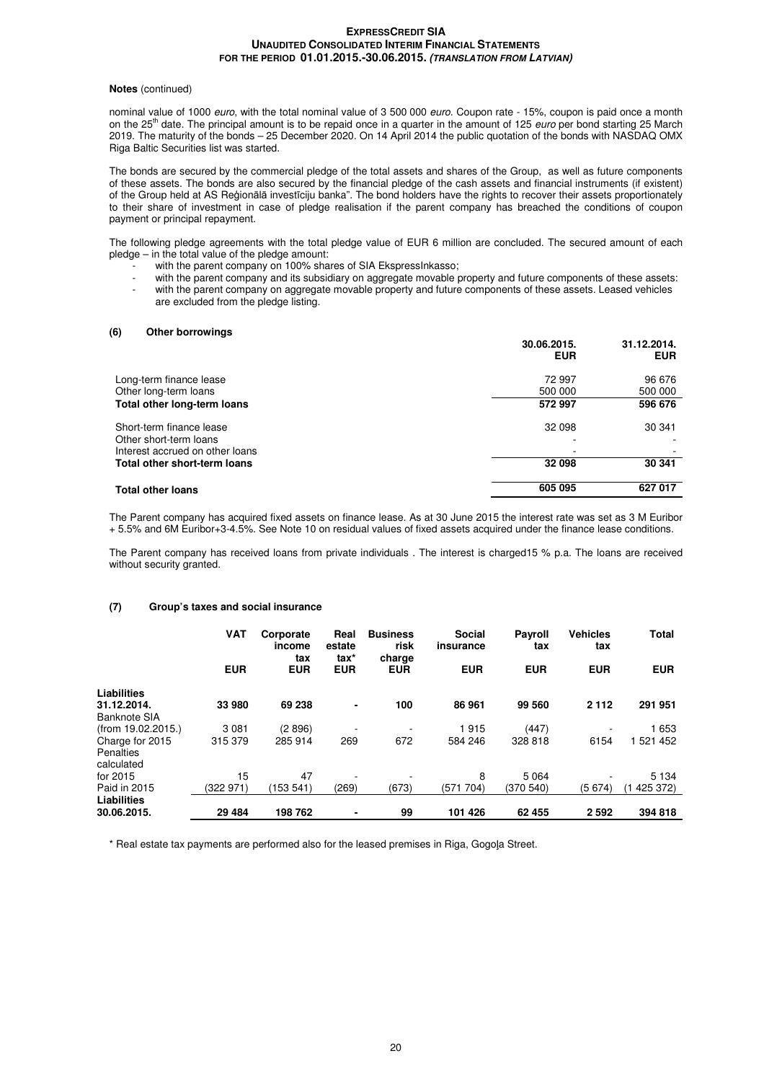#### **Notes** (continued)

nominal value of 1000 euro, with the total nominal value of 3 500 000 euro. Coupon rate - 15%, coupon is paid once a month on the 25<sup>th</sup> date. The principal amount is to be repaid once in a quarter in the amount of 125 *euro* per bond starting 25 March 2019. The maturity of the bonds – 25 December 2020. On 14 April 2014 the public quotation of the bonds with NASDAQ OMX Riga Baltic Securities list was started.

The bonds are secured by the commercial pledge of the total assets and shares of the Group, as well as future components of these assets. The bonds are also secured by the financial pledge of the cash assets and financial instruments (if existent) of the Group held at AS Reģionālā investīciju banka". The bond holders have the rights to recover their assets proportionately to their share of investment in case of pledge realisation if the parent company has breached the conditions of coupon payment or principal repayment.

The following pledge agreements with the total pledge value of EUR 6 million are concluded. The secured amount of each pledge – in the total value of the pledge amount:

- with the parent company on 100% shares of SIA EkspressInkasso;
- with the parent company and its subsidiary on aggregate movable property and future components of these assets: with the parent company on aggregate movable property and future components of these assets. Leased vehicles
- are excluded from the pledge listing.

#### **(6) Other borrowings**

|                                 | 30.06.2015.<br><b>EUR</b> | 31.12.2014.<br><b>EUR</b> |
|---------------------------------|---------------------------|---------------------------|
| Long-term finance lease         | 72 997                    | 96 676                    |
| Other long-term loans           | 500 000                   | 500 000                   |
| Total other long-term loans     | 572 997                   | 596 676                   |
| Short-term finance lease        | 32 098                    | 30 341                    |
| Other short-term loans          | ۰                         |                           |
| Interest accrued on other loans | ۰                         |                           |
| Total other short-term loans    | 32 098                    | 30 341                    |
| <b>Total other loans</b>        | 605 095                   | 627 017                   |
|                                 |                           |                           |

The Parent company has acquired fixed assets on finance lease. As at 30 June 2015 the interest rate was set as 3 M Euribor + 5.5% and 6M Euribor+3-4.5%. See Note 10 on residual values of fixed assets acquired under the finance lease conditions.

The Parent company has received loans from private individuals . The interest is charged15 % p.a. The loans are received without security granted.

#### **(7) Group's taxes and social insurance**

|                    | <b>VAT</b> | Corporate<br>income<br>tax | Real<br>estate<br>tax* | <b>Business</b><br>risk<br>charge | <b>Social</b><br>insurance | <b>Payroll</b><br>tax | <b>Vehicles</b><br>tax | <b>Total</b> |
|--------------------|------------|----------------------------|------------------------|-----------------------------------|----------------------------|-----------------------|------------------------|--------------|
|                    | <b>EUR</b> | <b>EUR</b>                 | <b>EUR</b>             | <b>EUR</b>                        | <b>EUR</b>                 | <b>EUR</b>            | <b>EUR</b>             | <b>EUR</b>   |
| Liabilities        |            |                            |                        |                                   |                            |                       |                        |              |
| 31.12.2014.        | 33 980     | 69 238                     | $\blacksquare$         | 100                               | 86 961                     | 99 560                | 2 1 1 2                | 291 951      |
| Banknote SIA       |            |                            |                        |                                   |                            |                       |                        |              |
| (from 19.02.2015.) | 3 0 8 1    | (2896)                     |                        |                                   | 1915                       | (447)                 |                        | 1 653        |
| Charge for 2015    | 315 379    | 285 914                    | 269                    | 672                               | 584 246                    | 328 818               | 6154                   | 521 452      |
| Penalties          |            |                            |                        |                                   |                            |                       |                        |              |
| calculated         |            |                            |                        |                                   |                            |                       |                        |              |
| for 2015           | 15         | 47                         |                        |                                   | 8                          | 5 0 6 4               |                        | 5 1 3 4      |
| Paid in 2015       | (322 971)  | (153541)                   | (269)                  | (673)                             | (571 704)                  | (370 540)             | (5674)                 | 425 372)     |
| Liabilities        |            |                            |                        |                                   |                            |                       |                        |              |
| 30.06.2015.        | 29 4 84    | 198762                     |                        | 99                                | 101 426                    | 62 455                | 2 5 9 2                | 394 818      |

\* Real estate tax payments are performed also for the leased premises in Riga, Gogoļa Street.